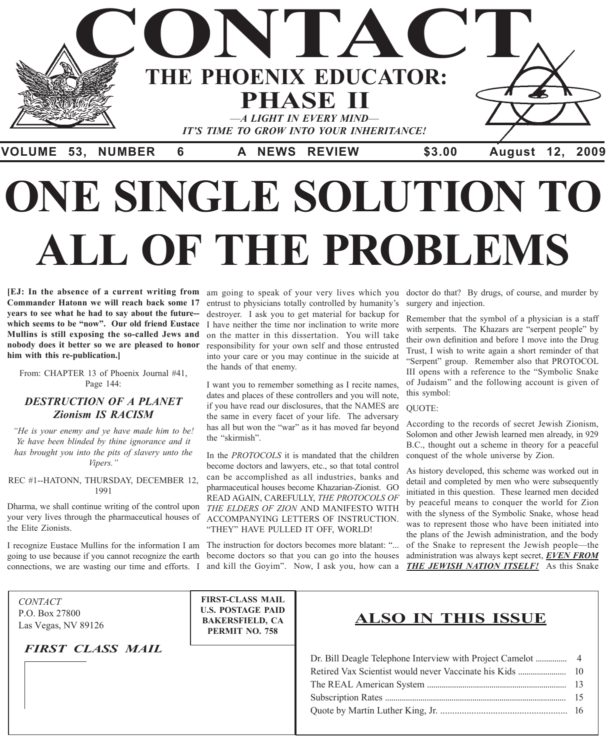

# **ONE SINGLE SOLUTION TO ALL OF THE PROBLEMS**

**[EJ: In the absence of a current writing from**  am going to speak of your very lives which you doctor do that? By drugs, of course, and murder by **Commander Hatonn we will reach back some 17**  entrust to physicians totally controlled by humanity's **years to see what he had to say about the future- which seems to be "now". Our old friend Eustace**  I have neither the time nor inclination to write more **Mullins is still exposing the so-called Jews and nobody does it better so we are pleased to honor him with this re-publication.]**

From: CHAPTER 13 of Phoenix Journal #41, Page 144:

#### *DESTRUCTION OF A PLANET Zionism IS RACISM*

*"He is your enemy and ye have made him to be! Ye have been blinded by thine ignorance and it has brought you into the pits of slavery unto the Vipers."*

#### REC #1--HATONN, THURSDAY, DECEMBER 12, 1991

Dharma, we shall continue writing of the control upon your very lives through the pharmaceutical houses of the Elite Zionists.

I recognize Eustace Mullins for the information I am going to use because if you cannot recognize the earth become doctors so that you can go into the houses connections, we are wasting our time and efforts. I and kill the Goyim". Now, I ask you, how can a

destroyer. I ask you to get material for backup for on the matter in this dissertation. You will take responsibility for your own self and those entrusted into your care or you may continue in the suicide at the hands of that enemy.

I want you to remember something as I recite names, dates and places of these controllers and you will note, if you have read our disclosures, that the NAMES are the same in every facet of your life. The adversary has all but won the "war" as it has moved far beyond the "skirmish".

In the *PROTOCOLS* it is mandated that the children become doctors and lawyers, etc., so that total control can be accomplished as all industries, banks and pharmaceutical houses become Khazarian-Zionist. GO READ AGAIN, CAREFULLY, *THE PROTOCOLS OF THE ELDERS OF ZION* AND MANIFESTO WITH ACCOMPANYING LETTERS OF INSTRUCTION. "THEY" HAVE PULLED IT OFF, WORLD!

The instruction for doctors becomes more blatant: "...

surgery and injection.

Remember that the symbol of a physician is a staff with serpents. The Khazars are "serpent people" by their own definition and before I move into the Drug Trust, I wish to write again a short reminder of that "Serpent" group. Remember also that PROTOCOL III opens with a reference to the "Symbolic Snake of Judaism" and the following account is given of this symbol:

#### QUOTE:

According to the records of secret Jewish Zionism, Solomon and other Jewish learned men already, in 929 B.C., thought out a scheme in theory for a peaceful conquest of the whole universe by Zion.

As history developed, this scheme was worked out in detail and completed by men who were subsequently initiated in this question. These learned men decided by peaceful means to conquer the world for Zion with the slyness of the Symbolic Snake, whose head was to represent those who have been initiated into the plans of the Jewish administration, and the body of the Snake to represent the Jewish people—the administration was always kept secret, *EVEN FROM THE JEWISH NATION ITSELF!*As this Snake

| <i>CONTACT</i>      |  |
|---------------------|--|
| P.O. Box 27800      |  |
| Las Vegas, NV 89126 |  |

*FIRST CLASS MAIL*

| FIRST-CLASS MAIL         |
|--------------------------|
| <b>U.S. POSTAGE PAID</b> |
| <b>BAKERSFIELD, CA</b>   |
| <b>PERMIT NO. 758</b>    |

### **ALSO IN THIS ISSUE**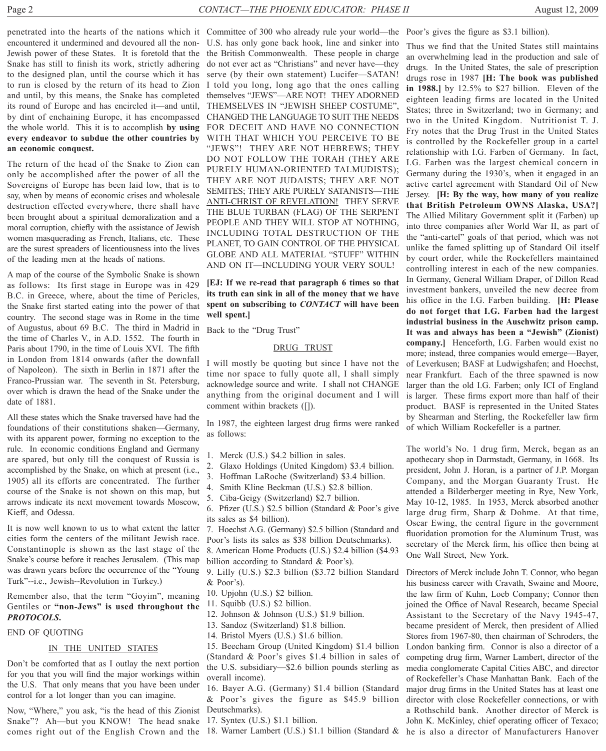penetrated into the hearts of the nations which it Committee of 300 who already rule your world—the Poor's gives the figure as \$3.1 billion). encountered it undermined and devoured all the non-U.S. has only gone back hook, line and sinker into Jewish power of these States. It is foretold that the the British Commonwealth. These people in charge Snake has still to finish its work, strictly adhering to the designed plan, until the course which it has to run is closed by the return of its head to Zion and until, by this means, the Snake has completed its round of Europe and has encircled it—and until, by dint of enchaining Europe, it has encompassed the whole world. This it is to accomplish **by using every endeavor to subdue the other countries by an economic conquest.**

The return of the head of the Snake to Zion can only be accomplished after the power of all the Sovereigns of Europe has been laid low, that is to say, when by means of economic crises and wholesale destruction effected everywhere, there shall have been brought about a spiritual demoralization and a moral corruption, chiefly with the assistance of Jewish women masquerading as French, Italians, etc. These are the surest spreaders of licentiousness into the lives of the leading men at the heads of nations.

A map of the course of the Symbolic Snake is shown as follows: Its first stage in Europe was in 429 B.C. in Greece, where, about the time of Pericles, the Snake first started eating into the power of that country. The second stage was in Rome in the time of Augustus, about 69 B.C. The third in Madrid in the time of Charles V., in A.D. 1552. The fourth in Paris about 1790, in the time of Louis XVI. The fifth in London from 1814 onwards (after the downfall of Napoleon). The sixth in Berlin in 1871 after the Franco-Prussian war. The seventh in St. Petersburg, over which is drawn the head of the Snake under the date of 1881.

All these states which the Snake traversed have had the foundations of their constitutions shaken—Germany, with its apparent power, forming no exception to the rule. In economic conditions England and Germany are spared, but only till the conquest of Russia is accomplished by the Snake, on which at present (i.e., 1905) all its efforts are concentrated. The further course of the Snake is not shown on this map, but arrows indicate its next movement towards Moscow, Kieff, and Odessa.

It is now well known to us to what extent the latter cities form the centers of the militant Jewish race. Constantinople is shown as the last stage of the Snake's course before it reaches Jerusalem. (This map was drawn years before the occurrence of the "Young Turk"--i.e., Jewish--Revolution in Turkey.)

Remember also, that the term "Goyim", meaning Gentiles or **"non-Jews" is used throughout the**  *PROTOCOLS***.**

#### END OF QUOTING

#### IN THE UNITED STATES

Don't be comforted that as I outlay the next portion for you that you will find the major workings within the U.S. That only means that you have been under control for a lot longer than you can imagine.

Now, "Where," you ask, "is the head of this Zionist Snake"? Ah—but you KNOW! The head snake comes right out of the English Crown and the 18. Warner Lambert (U.S.) \$1.1 billion (Standard & he is also a director of Manufacturers Hanover

do not ever act as "Christians" and never have—they serve (by their own statement) Lucifer—SATAN! I told you long, long ago that the ones calling themselves "JEWS"—ARE NOT! THEY ADORNED THEMSELVES IN "JEWISH SHEEP COSTUME", CHANGED THE LANGUAGE TO SUIT THE NEEDS FOR DECEIT AND HAVE NO CONNECTION WITH THAT WHICH YOU PERCEIVE TO BE "JEWS"! THEY ARE NOT HEBREWS; THEY DO NOT FOLLOW THE TORAH (THEY ARE PURELY HUMAN-ORIENTED TALMUDISTS); THEY ARE NOT JUDAISTS; THEY ARE NOT SEMITES; THEY ARE PURELY SATANISTS-THE ANTI-CHRIST OF REVELATION! THEY SERVE THE BLUE TURBAN (FLAG) OF THE SERPENT PEOPLE AND THEY WILL STOP AT NOTHING, INCLUDING TOTAL DESTRUCTION OF THE PLANET, TO GAIN CONTROL OF THE PHYSICAL GLOBE AND ALL MATERIAL "STUFF" WITHIN AND ON IT—INCLUDING YOUR VERY SOUL!

#### **[EJ: If we re-read that paragraph 6 times so that its truth can sink in all of the money that we have spent on subscribing to** *CONTACT* **will have been well spent.]**

Back to the "Drug Trust"

#### DRUG TRUST

I will mostly be quoting but since I have not the time nor space to fully quote all, I shall simply acknowledge source and write. I shall not CHANGE anything from the original document and I will comment within brackets ([]).

In 1987, the eighteen largest drug firms were ranked as follows:

- 1. Merck (U.S.) \$4.2 billion in sales.
- 2. Glaxo Holdings (United Kingdom) \$3.4 billion.
- 3. Hoffman LaRoche (Switzerland) \$3.4 billion.
- 4. Smith Kline Beckman (U.S.) \$2.8 billion.
- 5. Ciba-Geigy (Switzerland) \$2.7 billion.
- 6. Pfizer (U.S.) \$2.5 billion (Standard & Poor's give its sales as \$4 billion).
- 7. Hoechst A.G. (Germany) \$2.5 billion (Standard and Poor's lists its sales as \$38 billion Deutschmarks).

8. American Home Products (U.S.) \$2.4 billion (\$4.93 billion according to Standard & Poor's).

- 9. Lilly (U.S.) \$2.3 billion (\$3.72 billion Standard & Poor's).
- 10. Upjohn (U.S.) \$2 billion.
- 11. Squibb (U.S.) \$2 billion.
- 12. Johnson & Johnson (U.S.) \$1.9 billion.
- 13. Sandoz (Switzerland) \$1.8 billion.
- 14. Bristol Myers (U.S.) \$1.6 billion.

15. Beecham Group (United Kingdom) \$1.4 billion (Standard & Poor's gives \$1.4 billion in sales of the U.S. subsidiary—\$2.6 billion pounds sterling as overall income).

16. Bayer A.G. (Germany) \$1.4 billion (Standard & Poor's gives the figure as \$45.9 billion Deutschmarks).

17. Syntex (U.S.) \$1.1 billion.

Thus we find that the United States still maintains an overwhelming lead in the production and sale of drugs. In the United States, the sale of prescription drugs rose in 1987 **[H: The book was published in 1988.]** by 12.5% to \$27 billion. Eleven of the eighteen leading firms are located in the United States; three in Switzerland; two in Germany; and two in the United Kingdom. Nutritionist T. J. Fry notes that the Drug Trust in the United States is controlled by the Rockefeller group in a cartel relationship with I.G. Farben of Germany. In fact, I.G. Farben was the largest chemical concern in Germany during the 1930's, when it engaged in an active cartel agreement with Standard Oil of New Jersey. **[H: By the way, how many of you realize that British Petroleum OWNS Alaska, USA?]**  The Allied Military Government split it (Farben) up into three companies after World War II, as part of the "anti-cartel" goals of that period, which was not unlike the famed splitting up of Standard Oil itself by court order, while the Rockefellers maintained controlling interest in each of the new companies. In Germany, General William Draper, of Dillon Read investment bankers, unveiled the new decree from his office in the I.G. Farben building. **[H: Please do not forget that I.G. Farben had the largest industrial business in the Auschwitz prison camp. It was and always has been a "Jewish" (Zionist) company.]** Henceforth, I.G. Farben would exist no more; instead, three companies would emerge—Bayer, of Leverkusen; BASF at Ludwigshafen; and Hoechst, near Frankfurt. Each of the three spawned is now larger than the old I.G. Farben; only ICI of England is larger. These firms export more than half of their product. BASF is represented in the United States by Shearman and Sterling, the Rockefeller law firm of which William Rockefeller is a partner.

The world's No. 1 drug firm, Merck, began as an apothecary shop in Darmstadt, Germany, in 1668. Its president, John J. Horan, is a partner of J.P. Morgan Company, and the Morgan Guaranty Trust. He attended a Bilderberger meeting in Rye, New York, May 10-12, 1985. In 1953, Merck absorbed another large drug firm, Sharp & Dohme. At that time, Oscar Ewing, the central figure in the government fluoridation promotion for the Aluminum Trust, was secretary of the Merck firm, his office then being at One Wall Street, New York.

Directors of Merck include John T. Connor, who began his business career with Cravath, Swaine and Moore, the law firm of Kuhn, Loeb Company; Connor then joined the Office of Naval Research, became Special Assistant to the Secretary of the Navy 1945-47, became president of Merck, then president of Allied Stores from 1967-80, then chairman of Schroders, the London banking firm. Connor is also a director of a competing drug firm, Warner Lambert, director of the media conglomerate Capital Cities ABC, and director of Rockefeller's Chase Manhattan Bank. Each of the major drug firms in the United States has at least one director with close Rockefeller connections, or with a Rothschild bank. Another director of Merck is John K. McKinley, chief operating officer of Texaco;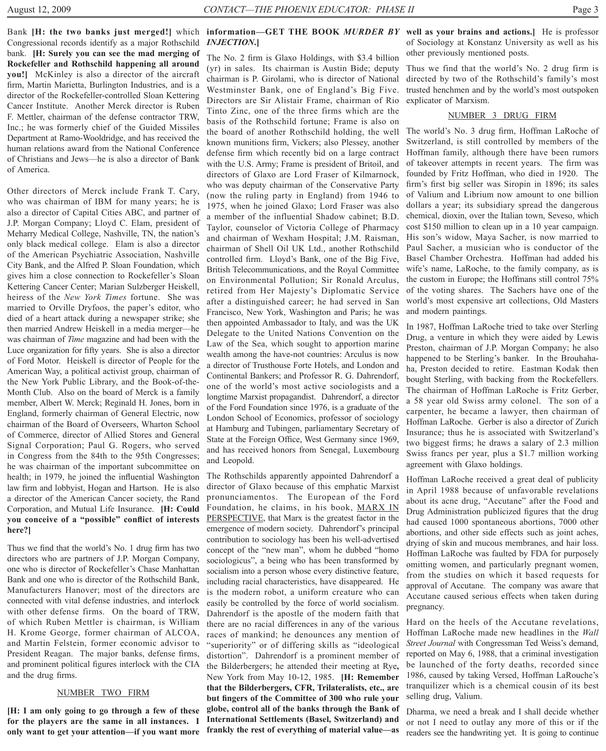Congressional records identify as a major Rothschild *INJECTION***.]** bank. **[H: Surely you can see the mad merging of Rockefeller and Rothschild happening all around you!]** McKinley is also a director of the aircraft firm, Martin Marietta, Burlington Industries, and is a director of the Rockefeller-controlled Sloan Kettering Cancer Institute. Another Merck director is Ruben F. Mettler, chairman of the defense contractor TRW, Inc.; he was formerly chief of the Guided Missiles Department at Ramo-Wooldridge, and has received the human relations award from the National Conference of Christians and Jews—he is also a director of Bank of America.

Other directors of Merck include Frank T. Cary, who was chairman of IBM for many years; he is also a director of Capital Cities ABC, and partner of J.P. Morgan Company; Lloyd C. Elam, president of Meharry Medical College, Nashville, TN, the nation's only black medical college. Elam is also a director of the American Psychiatric Association, Nashville City Bank, and the Alfred P. Sloan Foundation, which gives him a close connection to Rockefeller's Sloan Kettering Cancer Center; Marian Sulzberger Heiskell, heiress of the *New York Times* fortune. She was married to Orville Dryfoos, the paper's editor, who died of a heart attack during a newspaper strike; she then married Andrew Heiskell in a media merger—he was chairman of *Time* magazine and had been with the Luce organization for fifty years. She is also a director of Ford Motor. Heiskell is director of People for the American Way, a political activist group, chairman of the New York Public Library, and the Book-of-the-Month Club. Also on the board of Merck is a family member, Albert W. Merck; Reginald H. Jones, born in England, formerly chairman of General Electric, now chairman of the Board of Overseers, Wharton School of Commerce, director of Allied Stores and General Signal Corporation; Paul G. Rogers, who served in Congress from the 84th to the 95th Congresses; he was chairman of the important subcommittee on health; in 1979, he joined the influential Washington law firm and lobbyist, Hogan and Hartson. He is also a director of the American Cancer society, the Rand Corporation, and Mutual Life Insurance. **[H: Could you conceive of a "possible" conflict of interests here?]**

Thus we find that the world's No. 1 drug firm has two directors who are partners of J.P. Morgan Company, one who is director of Rockefeller's Chase Manhattan Bank and one who is director of the Rothschild Bank, Manufacturers Hanover; most of the directors are connected with vital defense industries, and interlock with other defense firms. On the board of TRW, of which Ruben Mettler is chairman, is William H. Krome George, former chairman of ALCOA, and Martin Felstein, former economic advisor to President Reagan. The major banks, defense firms, and prominent political figures interlock with the CIA and the drug firms.

#### NUMBER TWO FIRM

**[H: I am only going to go through a few of these for the players are the same in all instances. I only want to get your attention—if you want more** 

The No. 2 firm is Glaxo Holdings, with \$3.4 billion (yr) in sales. Its chairman is Austin Bide; deputy chairman is P. Girolami, who is director of National Westminster Bank, one of England's Big Five. Directors are Sir Alistair Frame, chairman of Rio Tinto Zinc, one of the three firms which are the basis of the Rothschild fortune; Frame is also on the board of another Rothschild holding, the well known munitions firm, Vickers; also Plessey, another defense firm which recently bid on a large contract with the U.S. Army; Frame is president of Britoil, and directors of Glaxo are Lord Fraser of Kilmarnock, who was deputy chairman of the Conservative Party (now the ruling party in England) from 1946 to 1975, when he joined Glaxo; Lord Fraser was also a member of the influential Shadow cabinet; B.D. Taylor, counselor of Victoria College of Pharmacy and chairman of Wexham Hospital; J.M. Raisman, chairman of Shell Oil UK Ltd., another Rothschild controlled firm. Lloyd's Bank, one of the Big Five, British Telecommunications, and the Royal Committee on Environmental Pollution; Sir Ronald Arculus, retired from Her Majesty's Diplomatic Service after a distinguished career; he had served in San Francisco, New York, Washington and Paris; he was then appointed Ambassador to Italy, and was the UK Delegate to the United Nations Convention on the Law of the Sea, which sought to apportion marine wealth among the have-not countries: Arculus is now a director of Trusthouse Forte Hotels, and London and Continental Bankers; and Professor R. G. Dahrendorf, one of the world's most active sociologists and a longtime Marxist propagandist. Dahrendorf, a director of the Ford Foundation since 1976, is a graduate of the London School of Economics, professor of sociology at Hamburg and Tubingen, parliamentary Secretary of State at the Foreign Office, West Germany since 1969, and has received honors from Senegal, Luxembourg and Leopold.

The Rothschilds apparently appointed Dahrendorf a director of Glaxo because of this emphatic Marxist pronunciamentos. The European of the Ford Foundation, he claims, in his book, MARX IN PERSPECTIVE, that Marx is the greatest factor in the emergence of modern society. Dahrendorf's principal contribution to sociology has been his well-advertised concept of the "new man", whom he dubbed "homo sociologicus", a being who has been transformed by socialism into a person whose every distinctive feature, including racial characteristics, have disappeared. He is the modern robot, a uniform creature who can easily be controlled by the force of world socialism. Dahrendorf is the apostle of the modern faith that there are no racial differences in any of the various races of mankind; he denounces any mention of "superiority" or of differing skills as "ideological distortion". Dahrendorf is a prominent member of the Bilderbergers; he attended their meeting at Rye**,**  New York from May 10-12, 1985. **[H: Remember that the Bilderbergers, CFR, Trilateralists, etc., are but fingers of the Committee of 300 who rule your globe, control all of the banks through the Bank of International Settlements (Basel, Switzerland) and frankly the rest of everything of material value—as** 

Bank **[H: the two banks just merged!]** which **information—GET THE BOOK** *MURDER BY*  **well as your brains and actions.]** He is professor of Sociology at Konstanz University as well as his other previously mentioned posts.

> Thus we find that the world's No. 2 drug firm is directed by two of the Rothschild's family's most trusted henchmen and by the world's most outspoken explicator of Marxism.

#### NUMBER 3 DRUG FIRM

The world's No. 3 drug firm, Hoffman LaRoche of Switzerland, is still controlled by members of the Hoffman family, although there have been rumors of takeover attempts in recent years. The firm was founded by Fritz Hoffman, who died in 1920. The firm's first big seller was Siropin in 1896; its sales of Valium and Librium now amount to one billion dollars a year; its subsidiary spread the dangerous chemical, dioxin, over the Italian town, Seveso, which cost \$150 million to clean up in a 10 year campaign. His son's widow, Maya Sacher, is now married to Paul Sacher, a musician who is conductor of the Basel Chamber Orchestra. Hoffman had added his wife's name, LaRoche, to the family company, as is the custom in Europe; the Hoffmans still control 75% of the voting shares. The Sachers have one of the world's most expensive art collections, Old Masters and modern paintings.

In 1987, Hoffman LaRoche tried to take over Sterling Drug, a venture in which they were aided by Lewis Preston, chairman of J.P. Morgan Company; he also happened to be Sterling's banker. In the Brouhahaha, Preston decided to retire. Eastman Kodak then bought Sterling, with backing from the Rockefellers. The chairman of Hoffman LaRoche is Fritz Gerber, a 58 year old Swiss army colonel. The son of a carpenter, he became a lawyer, then chairman of Hoffman LaRoche. Gerber is also a director of Zurich Insurance; thus he is associated with Switzerland's two biggest firms; he draws a salary of 2.3 million Swiss francs per year, plus a \$1.7 million working agreement with Glaxo holdings.

Hoffman LaRoche received a great deal of publicity in April 1988 because of unfavorable revelations about its acne drug, "Accutane" after the Food and Drug Administration publicized figures that the drug had caused 1000 spontaneous abortions, 7000 other abortions, and other side effects such as joint aches, drying of skin and mucous membranes, and hair loss. Hoffman LaRoche was faulted by FDA for purposely omitting women, and particularly pregnant women, from the studies on which it based requests for approval of Accutane. The company was aware that Accutane caused serious effects when taken during pregnancy.

Hard on the heels of the Accutane revelations, Hoffman LaRoche made new headlines in the *Wall Street Journal* with Congressman Ted Weiss's demand, reported on May 6, 1988, that a criminal investigation be launched of the forty deaths, recorded since 1986, caused by taking Versed, Hoffman LaRouche's tranquilizer which is a chemical cousin of its best selling drug, Valium.

Dharma, we need a break and I shall decide whether or not I need to outlay any more of this or if the readers see the handwriting yet. It is going to continue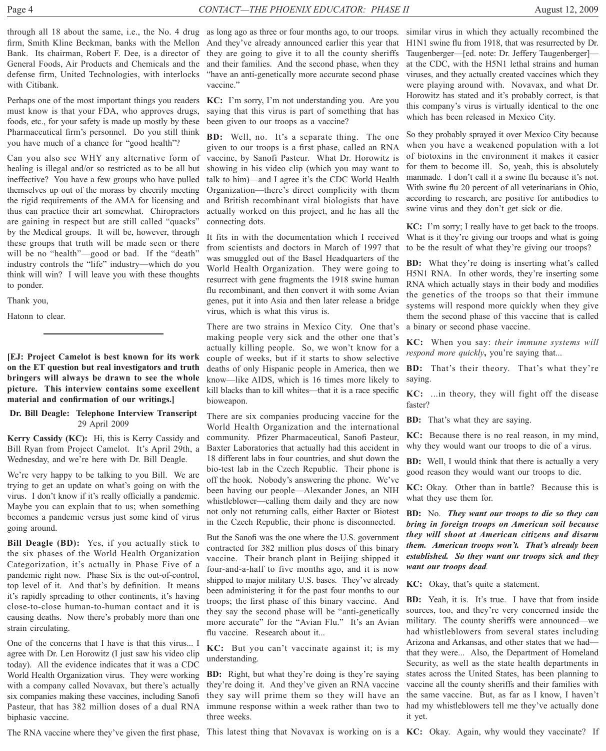through all 18 about the same, i.e., the No. 4 drug as long ago as three or four months ago, to our troops. firm, Smith Kline Beckman, banks with the Mellon And they've already announced earlier this year that Bank. Its chairman, Robert F. Dee, is a director of they are going to give it to all the county sheriffs General Foods, Air Products and Chemicals and the defense firm, United Technologies, with interlocks with Citibank.

Perhaps one of the most important things you readers must know is that your FDA, who approves drugs, foods, etc., for your safety is made up mostly by these Pharmaceutical firm's personnel. Do you still think you have much of a chance for "good health"?

Can you also see WHY any alternative form of healing is illegal and/or so restricted as to be all but ineffective? You have a few groups who have pulled themselves up out of the morass by cheerily meeting the rigid requirements of the AMA for licensing and thus can practice their art somewhat. Chiropractors are gaining in respect but are still called "quacks" by the Medical groups. It will be, however, through these groups that truth will be made seen or there will be no "health"—good or bad. If the "death" industry controls the "life" industry—which do you think will win? I will leave you with these thoughts to ponder.

Thank you,

Hatonn to clear.

**[EJ: Project Camelot is best known for its work on the ET question but real investigators and truth bringers will always be drawn to see the whole picture. This interview contains some excellent material and confirmation of our writings.]**

#### **Dr. Bill Deagle: Telephone Interview Transcript** 29 April 2009

**Kerry Cassidy (KC):** Hi, this is Kerry Cassidy and Bill Ryan from Project Camelot. It's April 29th, a Wednesday, and we're here with Dr. Bill Deagle.

We're very happy to be talking to you Bill. We are trying to get an update on what's going on with the virus. I don't know if it's really officially a pandemic. Maybe you can explain that to us; when something becomes a pandemic versus just some kind of virus going around.

**Bill Deagle (BD):** Yes, if you actually stick to the six phases of the World Health Organization Categorization, it's actually in Phase Five of a pandemic right now. Phase Six is the out-of-control, top level of it. And that's by definition. It means it's rapidly spreading to other continents, it's having close-to-close human-to-human contact and it is causing deaths. Now there's probably more than one strain circulating.

One of the concerns that I have is that this virus... I agree with Dr. Len Horowitz (I just saw his video clip today). All the evidence indicates that it was a CDC World Health Organization virus. They were working with a company called Novavax, but there's actually six companies making these vaccines, including Sanofi Pasteur, that has 382 million doses of a dual RNA biphasic vaccine.

and their families. And the second phase, when they "have an anti-genetically more accurate second phase vaccine."

**KC:** I'm sorry, I'm not understanding you. Are you saying that this virus is part of something that has been given to our troops as a vaccine?

**BD:** Well, no. It's a separate thing. The one given to our troops is a first phase, called an RNA vaccine, by Sanofi Pasteur. What Dr. Horowitz is showing in his video clip (which you may want to talk to him)—and I agree it's the CDC World Health Organization—there's direct complicity with them and British recombinant viral biologists that have actually worked on this project, and he has all the connecting dots.

It fits in with the documentation which I received from scientists and doctors in March of 1997 that was smuggled out of the Basel Headquarters of the World Health Organization. They were going to resurrect with gene fragments the 1918 swine human flu recombinant, and then convert it with some Avian genes, put it into Asia and then later release a bridge virus, which is what this virus is.

There are two strains in Mexico City. One that's making people very sick and the other one that's actually killing people. So, we won't know for a couple of weeks, but if it starts to show selective deaths of only Hispanic people in America, then we know—like AIDS, which is 16 times more likely to kill blacks than to kill whites—that it is a race specific bioweapon.

There are six companies producing vaccine for the World Health Organization and the international community. Pfizer Pharmaceutical, Sanofi Pasteur, Baxter Laboratories that actually had this accident in 18 different labs in four countries, and shut down the bio-test lab in the Czech Republic. Their phone is off the hook. Nobody's answering the phone. We've been having our people—Alexander Jones, an NIH whistleblower—calling them daily and they are now not only not returning calls, either Baxter or Biotest in the Czech Republic, their phone is disconnected.

But the Sanofi was the one where the U.S. government contracted for 382 million plus doses of this binary vaccine. Their branch plant in Beijing shipped it four-and-a-half to five months ago, and it is now shipped to major military U.S. bases. They've already been administering it for the past four months to our troops; the first phase of this binary vaccine. And they say the second phase will be "anti-genetically more accurate" for the "Avian Flu." It's an Avian flu vaccine. Research about it...

**KC:** But you can't vaccinate against it; is my understanding.

**BD:** Right, but what they're doing is they're saying they're doing it. And they've given an RNA vaccine they say will prime them so they will have an immune response within a week rather than two to three weeks.

similar virus in which they actually recombined the H1N1 swine flu from 1918, that was resurrected by Dr. Taugenberger—[ed. note: Dr. Jeffery Taugenberger] at the CDC, with the H5N1 lethal strains and human viruses, and they actually created vaccines which they were playing around with. Novavax, and what Dr. Horowitz has stated and it's probably correct, is that this company's virus is virtually identical to the one which has been released in Mexico City.

So they probably sprayed it over Mexico City because when you have a weakened population with a lot of biotoxins in the environment it makes it easier for them to become ill. So, yeah, this is absolutely manmade. I don't call it a swine flu because it's not. With swine flu 20 percent of all veterinarians in Ohio, according to research, are positive for antibodies to swine virus and they don't get sick or die.

**KC:** I'm sorry; I really have to get back to the troops. What is it they're giving our troops and what is going to be the result of what they're giving our troops?

**BD:** What they're doing is inserting what's called H5N1 RNA. In other words, they're inserting some RNA which actually stays in their body and modifies the genetics of the troops so that their immune systems will respond more quickly when they give them the second phase of this vaccine that is called a binary or second phase vaccine.

**KC:** When you say: *their immune systems will respond more quickly*, you're saying that...

**BD:** That's their theory. That's what they're saying.

**KC:** ...in theory, they will fight off the disease faster?

**BD:** That's what they are saying.

**KC:** Because there is no real reason, in my mind, why they would want our troops to die of a virus.

**BD:** Well, I would think that there is actually a very good reason they would want our troops to die.

**KC:** Okay. Other than in battle? Because this is what they use them for.

**BD:** No.*They want our troops to die so they can bring in foreign troops on American soil because they will shoot at American citizens and disarm them. American troops won't. That's already been established. So they want our troops sick and they want our troops dead.*

**KC:** Okay, that's quite a statement.

**BD:** Yeah, it is. It's true. I have that from inside sources, too, and they're very concerned inside the military. The county sheriffs were announced—we had whistleblowers from several states including Arizona and Arkansas, and other states that we had that they were... Also, the Department of Homeland Security, as well as the state health departments in states across the United States, has been planning to vaccine all the county sheriffs and their families with the same vaccine. But, as far as I know, I haven't had my whistleblowers tell me they've actually done it yet.

This latest thing that Novavax is working on is a **KC:** Okay. Again, why would they vaccinate? If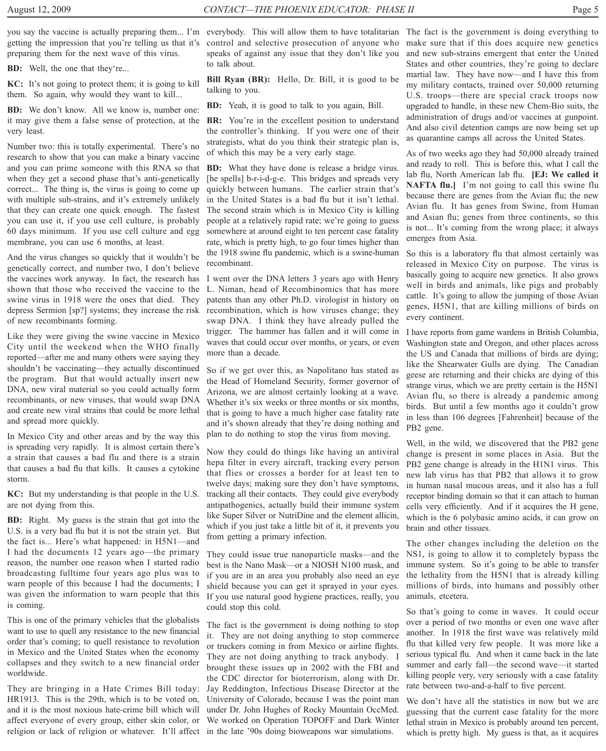**BD:** Well, the one that they're...

**KC:** It's not going to protect them; it is going to kill them. So again, why would they want to kill...

**BD:** We don't know. All we know is, number one: it may give them a false sense of protection, at the very least.

Number two: this is totally experimental. There's no research to show that you can make a binary vaccine and you can prime someone with this RNA so that when they get a second phase that's anti-genetically correct... The thing is, the virus is going to come up with multiple sub-strains, and it's extremely unlikely that they can create one quick enough. The fastest you can use it, if you use cell culture, is probably 60 days minimum. If you use cell culture and egg membrane, you can use 6 months, at least.

And the virus changes so quickly that it wouldn't be genetically correct, and number two, I don't believe the vaccines work anyway. In fact, the research has shown that those who received the vaccine to the swine virus in 1918 were the ones that died. They depress Sermion [sp?] systems; they increase the risk of new recombinants forming.

Like they were giving the swine vaccine in Mexico City until the weekend when the WHO finally reported—after me and many others were saying they shouldn't be vaccinating—they actually discontinued the program. But that would actually insert new DNA, new viral material so you could actually form recombinants, or new viruses, that would swap DNA and create new viral strains that could be more lethal and spread more quickly.

In Mexico City and other areas and by the way this is spreading very rapidly. It is almost certain there's a strain that causes a bad flu and there is a strain that causes a bad flu that kills. It causes a cytokine storm.

**KC:** But my understanding is that people in the U.S. are not dying from this.

**BD:** Right. My guess is the strain that got into the U.S. is a very bad flu but it is not the strain yet. But the fact is... Here's what happened: in H5N1—and I had the documents 12 years ago—the primary reason, the number one reason when I started radio broadcasting fulltime four years ago plus was to warn people of this because I had the documents; I was given the information to warn people that this is coming.

This is one of the primary vehicles that the globalists want to use to quell any resistance to the new financial order that's coming; to quell resistance to revolution in Mexico and the United States when the economy collapses and they switch to a new financial order worldwide.

They are bringing in a Hate Crimes Bill today: HR1913. This is the 29th, which is to be voted on, and it is the most noxious hate-crime bill which will affect everyone of every group, either skin color, or religion or lack of religion or whatever. It'll affect in the late '90s doing bioweapons war simulations.

speaks of against any issue that they don't like you to talk about.

**Bill Ryan (BR):** Hello, Dr. Bill, it is good to be talking to you.

**BD:** Yeah, it is good to talk to you again, Bill.

BR: You're in the excellent position to understand the controller's thinking. If you were one of their strategists, what do you think their strategic plan is, of which this may be a very early stage.

**BD:** What they have done is release a bridge virus. [he spells] b-r-i-d-g-e. This bridges and spreads very quickly between humans. The earlier strain that's in the United States is a bad flu but it isn't lethal. The second strain which is in Mexico City is killing people at a relatively rapid rate; we're going to guess somewhere at around eight to ten percent case fatality rate, which is pretty high, to go four times higher than the 1918 swine flu pandemic, which is a swine-human recombinant.

I went over the DNA letters 3 years ago with Henry L. Niman, head of Recombinomics that has more patents than any other Ph.D. virologist in history on recombination, which is how viruses change; they swap DNA. I think they have already pulled the trigger. The hammer has fallen and it will come in I have reports from game wardens in British Columbia, waves that could occur over months, or years, or even more than a decade.

So if we get over this, as Napolitano has stated as the Head of Homeland Security, former governor of Arizona, we are almost certainly looking at a wave. Whether it's six weeks or three months or six months, that is going to have a much higher case fatality rate and it's shown already that they're doing nothing and plan to do nothing to stop the virus from moving.

Now they could do things like having an antiviral hepa filter in every aircraft, tracking every person that flies or crosses a border for at least ten to twelve days; making sure they don't have symptoms, tracking all their contacts. They could give everybody antipathogenics, actually build their immune system like Super Silver or NutriDine and the element allicin, which if you just take a little bit of it, it prevents you from getting a primary infection.

They could issue true nanoparticle masks—and the best is the Nano Mask—or a NIOSH N100 mask, and if you are in an area you probably also need an eye shield because you can get it sprayed in your eyes. If you use natural good hygiene practices, really, you could stop this cold.

The fact is the government is doing nothing to stop it. They are not doing anything to stop commerce or truckers coming in from Mexico or airline flights. They are not doing anything to track anybody. I brought these issues up in 2002 with the FBI and the CDC director for bioterrorism, along with Dr. Jay Reddington, Infectious Disease Director at the University of Colorado, because I was the point man under Dr. John Hughes of Rocky Mountain OccMed. We worked on Operation TOPOFF and Dark Winter

control and selective prosecution of anyone who make sure that if this does acquire new genetics and new sub-strains emergent that enter the United States and other countries, they're going to declare martial law. They have now—and I have this from my military contacts, trained over 50,000 returning U.S. troops—there are special crack troops now upgraded to handle, in these new Chem-Bio suits, the administration of drugs and/or vaccines at gunpoint. And also civil detention camps are now being set up as quarantine camps all across the United States.

> As of two weeks ago they had 50,000 already trained and ready to roll. This is before this, what I call the lab flu, North American lab flu. **[EJ: We called it NAFTA flu.]** I'm not going to call this swine flu because there are genes from the Avian flu; the new Avian flu. It has genes from Swine, from Human and Asian flu; genes from three continents, so this is not... It's coming from the wrong place; it always emerges from Asia.

> So this is a laboratory flu that almost certainly was released in Mexico City on purpose. The virus is basically going to acquire new genetics. It also grows well in birds and animals, like pigs and probably cattle. It's going to allow the jumping of those Avian genes, H5N1, that are killing millions of birds on every continent.

> Washington state and Oregon, and other places across the US and Canada that millions of birds are dying; like the Shearwater Gulls are dying. The Canadian geese are returning and their chicks are dying of this strange virus, which we are pretty certain is the H5N1 Avian flu, so there is already a pandemic among birds. But until a few months ago it couldn't grow in less than 106 degrees [Fahrenheit] because of the PB2 gene.

> Well, in the wild, we discovered that the PB2 gene change is present in some places in Asia. But the PB2 gene change is already in the H1N1 virus. This new lab virus has that PB2 that allows it to grow in human nasal mucous areas, and it also has a full receptor binding domain so that it can attach to human cells very efficiently. And if it acquires the H gene, which is the 6 polybasic amino acids, it can grow on brain and other tissues.

> The other changes including the deletion on the NS1, is going to allow it to completely bypass the immune system. So it's going to be able to transfer the lethality from the H5N1 that is already killing millions of birds, into humans and possibly other animals, etcetera.

> So that's going to come in waves. It could occur over a period of two months or even one wave after another. In 1918 the first wave was relatively mild flu that killed very few people. It was more like a serious typical flu. And when it came back in the late summer and early fall—the second wave—it started killing people very, very seriously with a case fatality rate between two-and-a-half to five percent.

> We don't have all the statistics in now but we are guessing that the current case fatality for the more lethal strain in Mexico is probably around ten percent, which is pretty high. My guess is that, as it acquires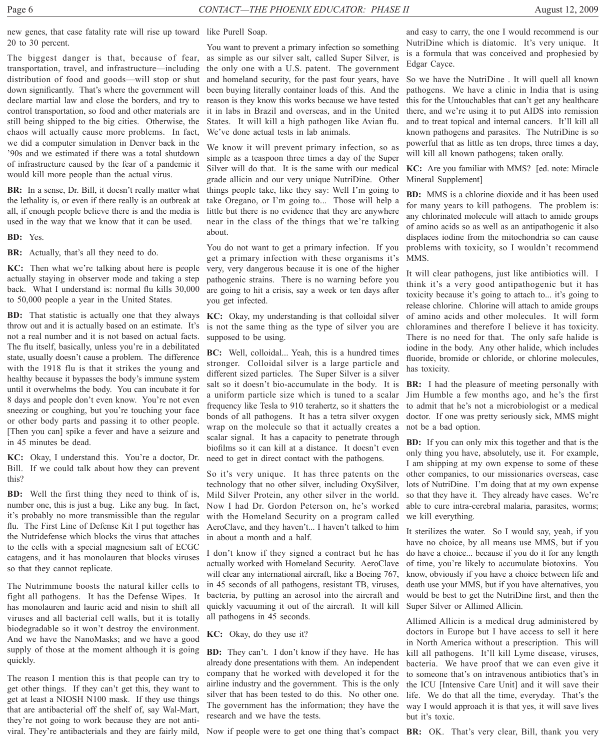new genes, that case fatality rate will rise up toward like Purell Soap. 20 to 30 percent.

The biggest danger is that, because of fear, transportation, travel, and infrastructure—including distribution of food and goods—will stop or shut down significantly. That's where the government will declare martial law and close the borders, and try to control transportation, so food and other materials are still being shipped to the big cities. Otherwise, the chaos will actually cause more problems. In fact, we did a computer simulation in Denver back in the '90s and we estimated if there was a total shutdown of infrastructure caused by the fear of a pandemic it would kill more people than the actual virus.

**BR:** In a sense, Dr. Bill, it doesn't really matter what the lethality is, or even if there really is an outbreak at all, if enough people believe there is and the media is used in the way that we know that it can be used.

**BD:** Yes.

**BR:** Actually, that's all they need to do.

**KC:** Then what we're talking about here is people actually staying in observer mode and taking a step back. What I understand is: normal flu kills 30,000 to 50,000 people a year in the United States.

**BD:** That statistic is actually one that they always throw out and it is actually based on an estimate. It's not a real number and it is not based on actual facts. The flu itself, basically, unless you're in a debilitated state, usually doesn't cause a problem. The difference with the 1918 flu is that it strikes the young and healthy because it bypasses the body's immune system until it overwhelms the body. You can incubate it for 8 days and people don't even know. You're not even sneezing or coughing, but you're touching your face or other body parts and passing it to other people. [Then you can] spike a fever and have a seizure and in 45 minutes be dead.

**KC:** Okay, I understand this. You're a doctor, Dr. Bill. If we could talk about how they can prevent this?

**BD:** Well the first thing they need to think of is, number one, this is just a bug. Like any bug. In fact, it's probably no more transmissible than the regular flu. The First Line of Defense Kit I put together has the Nutridefense which blocks the virus that attaches to the cells with a special magnesium salt of ECGC catagens, and it has monolauren that blocks viruses so that they cannot replicate.

The Nutrimmune boosts the natural killer cells to fight all pathogens. It has the Defense Wipes. It has monolauren and lauric acid and nisin to shift all viruses and all bacterial cell walls, but it is totally biodegradable so it won't destroy the environment. And we have the NanoMasks; and we have a good supply of those at the moment although it is going quickly.

The reason I mention this is that people can try to get other things. If they can't get this, they want to get at least a NIOSH N100 mask. If they use things that are antibacterial off the shelf of, say Wal-Mart, they're not going to work because they are not antiviral. They're antibacterials and they are fairly mild,

You want to prevent a primary infection so something as simple as our silver salt, called Super Silver, is the only one with a U.S. patent. The government and homeland security, for the past four years, have been buying literally container loads of this. And the reason is they know this works because we have tested it in labs in Brazil and overseas, and in the United States. It will kill a high pathogen like Avian flu. We've done actual tests in lab animals.

We know it will prevent primary infection, so as simple as a teaspoon three times a day of the Super Silver will do that. It is the same with our medical grade allicin and our very unique NutriDine. Other things people take, like they say: Well I'm going to take Oregano, or I'm going to... Those will help a little but there is no evidence that they are anywhere near in the class of the things that we're talking about.

You do not want to get a primary infection. If you get a primary infection with these organisms it's very, very dangerous because it is one of the higher pathogenic strains. There is no warning before you are going to hit a crisis, say a week or ten days after you get infected.

**KC:** Okay, my understanding is that colloidal silver is not the same thing as the type of silver you are supposed to be using.

**BC:** Well, colloidal... Yeah, this is a hundred times stronger. Colloidal silver is a large particle and different sized particles. The Super Silver is a silver salt so it doesn't bio-accumulate in the body. It is a uniform particle size which is tuned to a scalar frequency like Tesla to 910 terahertz, so it shatters the bonds of all pathogens. It has a tetra silver oxygen wrap on the molecule so that it actually creates a scalar signal. It has a capacity to penetrate through biofilms so it can kill at a distance. It doesn't even need to get in direct contact with the pathogens.

So it's very unique. It has three patents on the technology that no other silver, including OxySilver, Mild Silver Protein, any other silver in the world. Now I had Dr. Gordon Peterson on, he's worked with the Homeland Security on a program called AeroClave, and they haven't... I haven't talked to him in about a month and a half.

I don't know if they signed a contract but he has actually worked with Homeland Security. AeroClave will clear any international aircraft, like a Boeing 767, in 45 seconds of all pathogens, resistant TB, viruses, bacteria, by putting an aerosol into the aircraft and quickly vacuuming it out of the aircraft. It will kill all pathogens in 45 seconds.

**KC:** Okay, do they use it?

already done presentations with them. An independent company that he worked with developed it for the airline industry and the government. This is the only silver that has been tested to do this. No other one. The government has the information; they have the research and we have the tests.

Now if people were to get one thing that's compact **BR:** OK. That's very clear, Bill, thank you very

and easy to carry, the one I would recommend is our NutriDine which is diatomic. It's very unique. It is a formula that was conceived and prophesied by

So we have the NutriDine . It will quell all known pathogens. We have a clinic in India that is using this for the Untouchables that can't get any healthcare there, and we're using it to put AIDS into remission and to treat topical and internal cancers. It'll kill all known pathogens and parasites. The NutriDine is so powerful that as little as ten drops, three times a day, will kill all known pathogens; taken orally.

Edgar Cayce.

**KC:** Are you familiar with MMS? [ed. note: Miracle Mineral Supplement]

**BD:** MMS is a chlorine dioxide and it has been used for many years to kill pathogens. The problem is: any chlorinated molecule will attach to amide groups of amino acids so as well as an antipathogenic it also displaces iodine from the mitochondria so can cause problems with toxicity, so I wouldn't recommend MMS.

It will clear pathogens, just like antibiotics will. I think it's a very good antipathogenic but it has toxicity because it's going to attach to... it's going to release chlorine. Chlorine will attach to amide groups of amino acids and other molecules. It will form chloramines and therefore I believe it has toxicity. There is no need for that. The only safe halide is iodine in the body. Any other halide, which includes fluoride, bromide or chloride, or chlorine molecules, has toxicity.

**BR:** I had the pleasure of meeting personally with Jim Humble a few months ago, and he's the first to admit that he's not a microbiologist or a medical doctor. If one was pretty seriously sick, MMS might not be a bad option.

**BD:** If you can only mix this together and that is the only thing you have, absolutely, use it. For example, I am shipping at my own expense to some of these other companies, to our missionaries overseas, case lots of NutriDine. I'm doing that at my own expense so that they have it. They already have cases. We're able to cure intra-cerebral malaria, parasites, worms; we kill everything.

It sterilizes the water. So I would say, yeah, if you have no choice, by all means use MMS, but if you do have a choice... because if you do it for any length of time, you're likely to accumulate biotoxins. You know, obviously if you have a choice between life and death use your MMS, but if you have alternatives, you would be best to get the NutriDine first, and then the Super Silver or Allimed Allicin.

**BD:** They can't. I don't know if they have. He has kill all pathogens. It'll kill Lyme disease, viruses, Allimed Allicin is a medical drug administered by doctors in Europe but I have access to sell it here in North America without a prescription. This will bacteria. We have proof that we can even give it to someone that's on intravenous antibiotics that's in the ICU [Intensive Care Unit] and it will save their life. We do that all the time, everyday. That's the way I would approach it is that yes, it will save lives but it's toxic.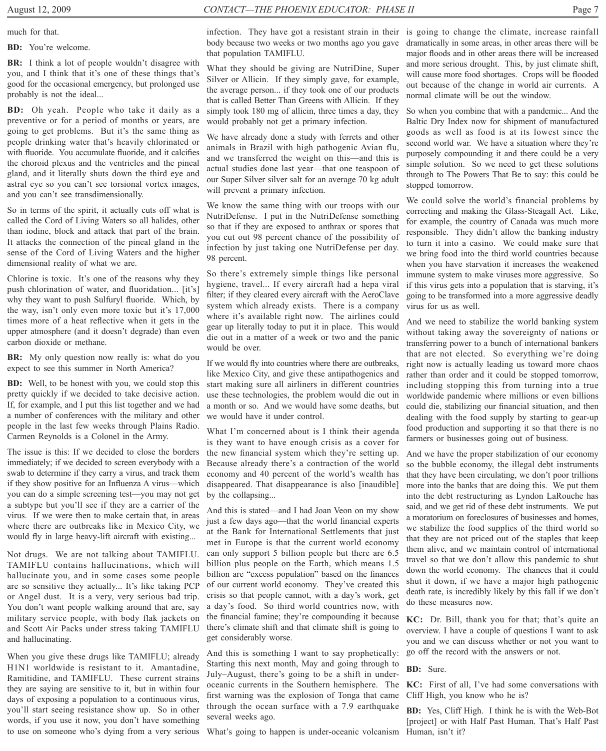much for that.

**BD:** You're welcome.

**BR:** I think a lot of people wouldn't disagree with you, and I think that it's one of these things that's good for the occasional emergency, but prolonged use probably is not the ideal...

**BD:** Oh yeah. People who take it daily as a preventive or for a period of months or years, are going to get problems. But it's the same thing as people drinking water that's heavily chlorinated or with fluoride. You accumulate fluoride, and it calcifies the choroid plexus and the ventricles and the pineal gland, and it literally shuts down the third eye and astral eye so you can't see torsional vortex images, and you can't see transdimensionally.

So in terms of the spirit, it actually cuts off what is called the Cord of Living Waters so all halides, other than iodine, block and attack that part of the brain. It attacks the connection of the pineal gland in the sense of the Cord of Living Waters and the higher dimensional reality of what we are.

Chlorine is toxic. It's one of the reasons why they push chlorination of water, and fluoridation... [it's] why they want to push Sulfuryl fluoride. Which, by the way, isn't only even more toxic but it's 17,000 times more of a heat reflective when it gets in the upper atmosphere (and it doesn't degrade) than even carbon dioxide or methane.

**BR:** My only question now really is: what do you expect to see this summer in North America?

**BD:** Well, to be honest with you, we could stop this pretty quickly if we decided to take decisive action. If, for example, and I put this list together and we had a number of conferences with the military and other people in the last few weeks through Plains Radio. Carmen Reynolds is a Colonel in the Army.

The issue is this: If we decided to close the borders immediately; if we decided to screen everybody with a swab to determine if they carry a virus, and track them if they show positive for an Influenza A virus—which you can do a simple screening test—you may not get a subtype but you'll see if they are a carrier of the virus. If we were then to make certain that, in areas where there are outbreaks like in Mexico City, we would fly in large heavy-lift aircraft with existing...

Not drugs. We are not talking about TAMIFLU. TAMIFLU contains hallucinations, which will hallucinate you, and in some cases some people are so sensitive they actually... It's like taking PCP or Angel dust. It is a very, very serious bad trip. You don't want people walking around that are, say military service people, with body flak jackets on and Scott Air Packs under stress taking TAMIFLU and hallucinating.

When you give these drugs like TAMIFLU; already H1N1 worldwide is resistant to it. Amantadine, Ramitidine, and TAMIFLU. These current strains they are saying are sensitive to it, but in within four days of exposing a population to a continuous virus, you'll start seeing resistance show up. So in other words, if you use it now, you don't have something to use on someone who's dying from a very serious

infection. They have got a resistant strain in their is going to change the climate, increase rainfall body because two weeks or two months ago you gave that population TAMIFLU.

What they should be giving are NutriDine, Super Silver or Allicin. If they simply gave, for example, the average person... if they took one of our products that is called Better Than Greens with Allicin. If they simply took 180 mg of allicin, three times a day, they would probably not get a primary infection.

We have already done a study with ferrets and other animals in Brazil with high pathogenic Avian flu, and we transferred the weight on this—and this is actual studies done last year—that one teaspoon of our Super Silver silver salt for an average 70 kg adult will prevent a primary infection.

We know the same thing with our troops with our NutriDefense. I put in the NutriDefense something so that if they are exposed to anthrax or spores that you cut out 98 percent chance of the possibility of infection by just taking one NutriDefense per day. 98 percent.

So there's extremely simple things like personal hygiene, travel... If every aircraft had a hepa viral filter; if they cleared every aircraft with the AeroClave system which already exists. There is a company where it's available right now. The airlines could gear up literally today to put it in place. This would die out in a matter of a week or two and the panic would be over.

If we would fly into countries where there are outbreaks, like Mexico City, and give these antipathogenics and start making sure all airliners in different countries use these technologies, the problem would die out in a month or so. And we would have some deaths, but we would have it under control.

What I'm concerned about is I think their agenda is they want to have enough crisis as a cover for the new financial system which they're setting up. Because already there's a contraction of the world economy and 40 percent of the world's wealth has disappeared. That disappearance is also [inaudible] by the collapsing...

And this is stated—and I had Joan Veon on my show just a few days ago—that the world financial experts at the Bank for International Settlements that just met in Europe is that the current world economy can only support 5 billion people but there are 6.5 billion plus people on the Earth, which means 1.5 billion are "excess population" based on the finances of our current world economy. They've created this crisis so that people cannot, with a day's work, get a day's food. So third world countries now, with the financial famine; they're compounding it because there's climate shift and that climate shift is going to get considerably worse.

And this is something I want to say prophetically: Starting this next month, May and going through to July–August, there's going to be a shift in underoceanic currents in the Southern hemisphere. The first warning was the explosion of Tonga that came through the ocean surface with a 7.9 earthquake several weeks ago.

What's going to happen is under-oceanic volcanism Human, isn't it?

dramatically in some areas, in other areas there will be major floods and in other areas there will be increased and more serious drought. This, by just climate shift, will cause more food shortages. Crops will be flooded out because of the change in world air currents. A normal climate will be out the window.

So when you combine that with a pandemic... And the Baltic Dry Index now for shipment of manufactured goods as well as food is at its lowest since the second world war. We have a situation where they're purposely compounding it and there could be a very simple solution. So we need to get these solutions through to The Powers That Be to say: this could be stopped tomorrow.

We could solve the world's financial problems by correcting and making the Glass-Steagall Act. Like, for example, the country of Canada was much more responsible. They didn't allow the banking industry to turn it into a casino. We could make sure that we bring food into the third world countries because when you have starvation it increases the weakened immune system to make viruses more aggressive. So if this virus gets into a population that is starving, it's going to be transformed into a more aggressive deadly virus for us as well.

And we need to stabilize the world banking system without taking away the sovereignty of nations or transferring power to a bunch of international bankers that are not elected. So everything we're doing right now is actually leading us toward more chaos rather than order and it could be stopped tomorrow, including stopping this from turning into a true worldwide pandemic where millions or even billions could die, stabilizing our financial situation, and then dealing with the food supply by starting to gear-up food production and supporting it so that there is no farmers or businesses going out of business.

And we have the proper stabilization of our economy so the bubble economy, the illegal debt instruments that they have been circulating, we don't poor trillions more into the banks that are doing this. We put them into the debt restructuring as Lyndon LaRouche has said, and we get rid of these debt instruments. We put a moratorium on foreclosures of businesses and homes, we stabilize the food supplies of the third world so that they are not priced out of the staples that keep them alive, and we maintain control of international travel so that we don't allow this pandemic to shut down the world economy. The chances that it could shut it down, if we have a major high pathogenic death rate, is incredibly likely by this fall if we don't do these measures now.

**KC:** Dr. Bill, thank you for that; that's quite an overview. I have a couple of questions I want to ask you and we can discuss whether or not you want to go off the record with the answers or not.

#### **BD:** Sure.

**KC:** First of all, I've had some conversations with Cliff High, you know who he is?

**BD:** Yes, Cliff High. I think he is with the Web-Bot [project] or with Half Past Human. That's Half Past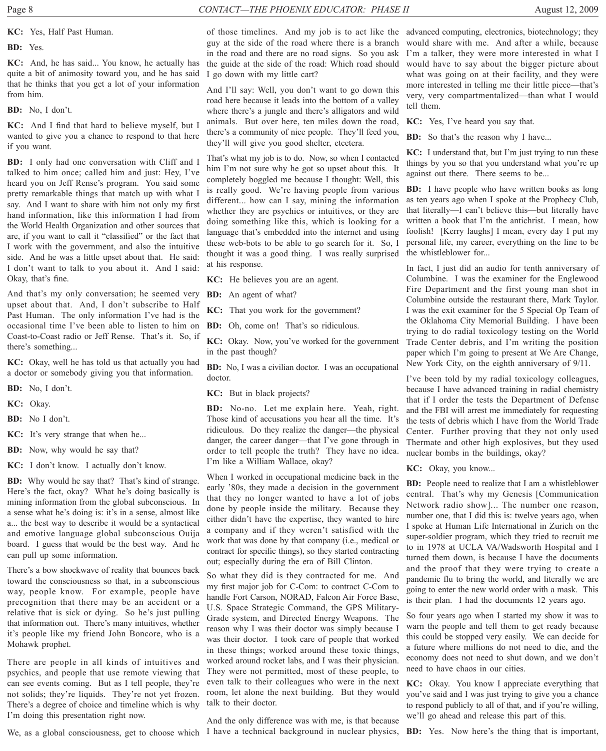**KC:** Yes, Half Past Human.

**BD:** Yes.

**KC:** And, he has said... You know, he actually has quite a bit of animosity toward you, and he has said that he thinks that you get a lot of your information from him.

**BD:** No, I don't.

**KC:** And I find that hard to believe myself, but I wanted to give you a chance to respond to that here if you want.

**BD:** I only had one conversation with Cliff and I talked to him once; called him and just: Hey, I've heard you on Jeff Rense's program. You said some pretty remarkable things that match up with what I say. And I want to share with him not only my first hand information, like this information I had from the World Health Organization and other sources that are, if you want to call it "classified" or the fact that I work with the government, and also the intuitive side. And he was a little upset about that. He said: I don't want to talk to you about it. And I said: Okay, that's fine.

And that's my only conversation; he seemed very upset about that. And, I don't subscribe to Half Past Human. The only information I've had is the occasional time I've been able to listen to him on Coast-to-Coast radio or Jeff Rense. That's it. So, if there's something...

**KC:** Okay, well he has told us that actually you had a doctor or somebody giving you that information.

- **BD:** No, I don't.
- **KC:** Okay.
- **BD:** No I don't.
- **KC:** It's very strange that when he...
- **BD:** Now, why would he say that?
- **KC:** I don't know. I actually don't know.

**BD:** Why would he say that? That's kind of strange. Here's the fact, okay? What he's doing basically is mining information from the global subconscious. In a sense what he's doing is: it's in a sense, almost like a... the best way to describe it would be a syntactical and emotive language global subconscious Ouija board. I guess that would be the best way. And he can pull up some information.

There's a bow shockwave of reality that bounces back toward the consciousness so that, in a subconscious way, people know. For example, people have precognition that there may be an accident or a relative that is sick or dying. So he's just pulling that information out. There's many intuitives, whether it's people like my friend John Boncore, who is a Mohawk prophet.

There are people in all kinds of intuitives and psychics, and people that use remote viewing that can see events coming. But as I tell people, they're not solids; they're liquids. They're not yet frozen. There's a degree of choice and timeline which is why I'm doing this presentation right now.

We, as a global consciousness, get to choose which

guy at the side of the road where there is a branch in the road and there are no road signs. So you ask the guide at the side of the road: Which road should I go down with my little cart?

And I'll say: Well, you don't want to go down this road here because it leads into the bottom of a valley where there's a jungle and there's alligators and wild animals. But over here, ten miles down the road, there's a community of nice people. They'll feed you, they'll will give you good shelter, etcetera.

That's what my job is to do. Now, so when I contacted him I'm not sure why he got so upset about this. It completely boggled me because I thought: Well, this is really good. We're having people from various different... how can I say, mining the information whether they are psychics or intuitives, or they are doing something like this, which is looking for a language that's embedded into the internet and using these web-bots to be able to go search for it. So, I thought it was a good thing. I was really surprised at his response.

- **KC:** He believes you are an agent.
- **BD:** An agent of what?
- **KC:** That you work for the government?
- **BD:** Oh, come on! That's so ridiculous.

**KC:** Okay. Now, you've worked for the government in the past though?

**BD:** No, I was a civilian doctor. I was an occupational doctor.

**KC:** But in black projects?

**BD:** No-no. Let me explain here. Yeah, right. Those kind of accusations you hear all the time. It's ridiculous. Do they realize the danger—the physical danger, the career danger—that I've gone through in order to tell people the truth? They have no idea. I'm like a William Wallace, okay?

When I worked in occupational medicine back in the early '80s, they made a decision in the government that they no longer wanted to have a lot of jobs done by people inside the military. Because they either didn't have the expertise, they wanted to hire a company and if they weren't satisfied with the work that was done by that company (i.e., medical or contract for specific things), so they started contracting out; especially during the era of Bill Clinton.

So what they did is they contracted for me. And my first major job for C-Com: to contract C-Com to handle Fort Carson, NORAD, Falcon Air Force Base, U.S. Space Strategic Command, the GPS Military-Grade system, and Directed Energy Weapons. The reason why I was their doctor was simply because I was their doctor. I took care of people that worked in these things; worked around these toxic things, worked around rocket labs, and I was their physician. They were not permitted, most of these people, to even talk to their colleagues who were in the next room, let alone the next building. But they would talk to their doctor.

And the only difference was with me, is that because I have a technical background in nuclear physics,

of those timelines. And my job is to act like the advanced computing, electronics, biotechnology; they would share with me. And after a while, because I'm a talker, they were more interested in what I would have to say about the bigger picture about what was going on at their facility, and they were more interested in telling me their little piece—that's very, very compartmentalized—than what I would tell them.

**KC:** Yes, I've heard you say that.

**BD:** So that's the reason why I have...

**KC:** I understand that, but I'm just trying to run these things by you so that you understand what you're up against out there. There seems to be...

**BD:** I have people who have written books as long as ten years ago when I spoke at the Prophecy Club, that literally—I can't believe this—but literally have written a book that I'm the antichrist. I mean, how foolish! [Kerry laughs] I mean, every day I put my personal life, my career, everything on the line to be the whistleblower for...

In fact, I just did an audio for tenth anniversary of Columbine. I was the examiner for the Englewood Fire Department and the first young man shot in Columbine outside the restaurant there, Mark Taylor. I was the exit examiner for the 5 Special Op Team of the Oklahoma City Memorial Building. I have been trying to do radial toxicology testing on the World Trade Center debris, and I'm writing the position paper which I'm going to present at We Are Change, New York City, on the eighth anniversary of 9/11.

I've been told by my radial toxicology colleagues, because I have advanced training in radial chemistry that if I order the tests the Department of Defense and the FBI will arrest me immediately for requesting the tests of debris which I have from the World Trade Center. Further proving that they not only used Thermate and other high explosives, but they used nuclear bombs in the buildings, okay?

**KC:** Okay, you know...

**BD:** People need to realize that I am a whistleblower central. That's why my Genesis [Communication Network radio show]... The number one reason, number one, that I did this is: twelve years ago, when I spoke at Human Life International in Zurich on the super-soldier program, which they tried to recruit me to in 1978 at UCLA VA/Wadsworth Hospital and I turned them down, is because I have the documents and the proof that they were trying to create a pandemic flu to bring the world, and literally we are going to enter the new world order with a mask. This is their plan. I had the documents 12 years ago.

So four years ago when I started my show it was to warn the people and tell them to get ready because this could be stopped very easily. We can decide for a future where millions do not need to die, and the economy does not need to shut down, and we don't need to have chaos in our cities.

**KC:** Okay. You know I appreciate everything that you've said and I was just trying to give you a chance to respond publicly to all of that, and if you're willing, we'll go ahead and release this part of this.

**BD:** Yes. Now here's the thing that is important,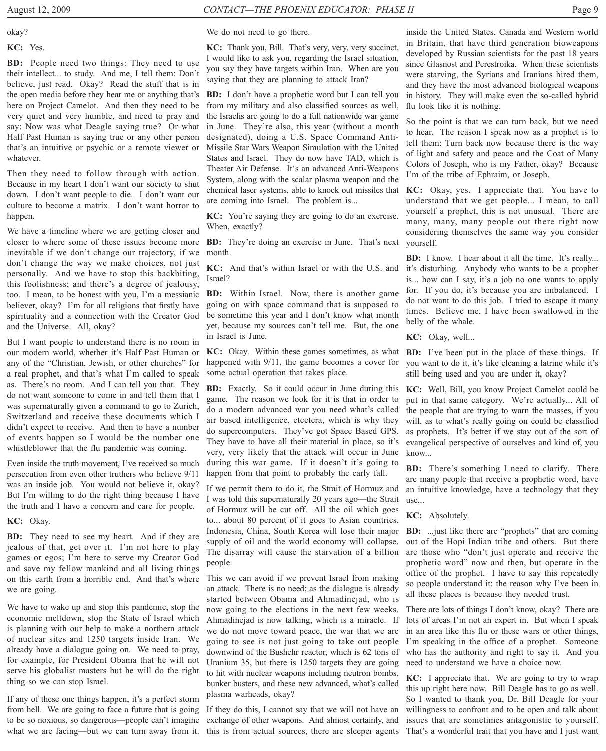okay?

**KC:** Yes.

**BD:** People need two things: They need to use their intellect... to study. And me, I tell them: Don't believe, just read. Okay? Read the stuff that is in the open media before they hear me or anything that's here on Project Camelot. And then they need to be very quiet and very humble, and need to pray and say: Now was what Deagle saying true? Or what Half Past Human is saying true or any other person that's an intuitive or psychic or a remote viewer or whatever.

Then they need to follow through with action. Because in my heart I don't want our society to shut down. I don't want people to die. I don't want our culture to become a matrix. I don't want horror to happen.

We have a timeline where we are getting closer and closer to where some of these issues become more inevitable if we don't change our trajectory, if we don't change the way we make choices, not just personally. And we have to stop this backbiting, this foolishness; and there's a degree of jealousy, too. I mean, to be honest with you, I'm a messianic believer, okay? I'm for all religions that firstly have spirituality and a connection with the Creator God and the Universe. All, okay?

But I want people to understand there is no room in our modern world, whether it's Half Past Human or any of the "Christian, Jewish, or other churches" for a real prophet, and that's what I'm called to speak as. There's no room. And I can tell you that. They do not want someone to come in and tell them that I was supernaturally given a command to go to Zurich, Switzerland and receive these documents which I didn't expect to receive. And then to have a number of events happen so I would be the number one whistleblower that the flu pandemic was coming.

Even inside the truth movement, I've received so much persecution from even other truthers who believe 9/11 was an inside job. You would not believe it, okay? But I'm willing to do the right thing because I have the truth and I have a concern and care for people.

**KC:** Okay.

**BD:** They need to see my heart. And if they are jealous of that, get over it. I'm not here to play games or egos; I'm here to serve my Creator God and save my fellow mankind and all living things on this earth from a horrible end. And that's where we are going.

We have to wake up and stop this pandemic, stop the economic meltdown, stop the State of Israel which is planning with our help to make a northern attack of nuclear sites and 1250 targets inside Iran. We already have a dialogue going on. We need to pray, for example, for President Obama that he will not serve his globalist masters but he will do the right thing so we can stop Israel.

If any of these one things happen, it's a perfect storm from hell. We are going to face a future that is going to be so noxious, so dangerous—people can't imagine what we are facing—but we can turn away from it. this is from actual sources, there are sleeper agents That's a wonderful trait that you have and I just want

We do not need to go there.

**KC:** Thank you, Bill. That's very, very, very succinct. I would like to ask you, regarding the Israel situation, you say they have targets within Iran. When are you saying that they are planning to attack Iran?

**BD:** I don't have a prophetic word but I can tell you from my military and also classified sources as well, the Israelis are going to do a full nationwide war game in June. They're also, this year (without a month designated), doing a U.S. Space Command Anti-Missile Star Wars Weapon Simulation with the United States and Israel. They do now have TAD, which is Theater Air Defense. It's an advanced Anti-Weapons System, along with the scalar plasma weapon and the chemical laser systems, able to knock out missiles that are coming into Israel. The problem is...

**KC:** You're saying they are going to do an exercise. When, exactly?

**BD:** They're doing an exercise in June. That's next month.

**KC:** And that's within Israel or with the U.S. and Israel?

**BD:** Within Israel. Now, there is another game going on with space command that is supposed to be sometime this year and I don't know what month yet, because my sources can't tell me. But, the one in Israel is June.

**KC:** Okay. Within these games sometimes, as what **BD:** I've been put in the place of these things. If happened with 9/11, the game becomes a cover for some actual operation that takes place.

**BD:** Exactly. So it could occur in June during this game. The reason we look for it is that in order to do a modern advanced war you need what's called air based intelligence, etcetera, which is why they do supercomputers. They've got Space Based GPS. They have to have all their material in place, so it's very, very likely that the attack will occur in June during this war game. If it doesn't it's going to happen from that point to probably the early fall.

If we permit them to do it, the Strait of Hormuz and I was told this supernaturally 20 years ago—the Strait of Hormuz will be cut off. All the oil which goes to... about 80 percent of it goes to Asian countries. Indonesia, China, South Korea will lose their major supply of oil and the world economy will collapse. The disarray will cause the starvation of a billion people.

This we can avoid if we prevent Israel from making an attack. There is no need; as the dialogue is already started between Obama and Ahmadinejad, who is now going to the elections in the next few weeks. Ahmadinejad is now talking, which is a miracle. If we do not move toward peace, the war that we are going to see is not just going to take out people I'm speaking in the office of a prophet. Someone downwind of the Bushehr reactor, which is 62 tons of Uranium 35, but there is 1250 targets they are going to hit with nuclear weapons including neutron bombs, bunker busters, and these new advanced, what's called plasma warheads, okay?

If they do this, I cannot say that we will not have an exchange of other weapons. And almost certainly, and

inside the United States, Canada and Western world in Britain, that have third generation bioweapons developed by Russian scientists for the past 18 years since Glasnost and Perestroika. When these scientists were starving, the Syrians and Iranians hired them, and they have the most advanced biological weapons in history. They will make even the so-called hybrid flu look like it is nothing.

So the point is that we can turn back, but we need to hear. The reason I speak now as a prophet is to tell them: Turn back now because there is the way of light and safety and peace and the Coat of Many Colors of Joseph, who is my Father, okay? Because I'm of the tribe of Ephraim, or Joseph.

**KC:** Okay, yes. I appreciate that. You have to understand that we get people... I mean, to call yourself a prophet, this is not unusual. There are many, many, many people out there right now considering themselves the same way you consider yourself.

**BD:** I know. I hear about it all the time. It's really... it's disturbing. Anybody who wants to be a prophet is... how can I say, it's a job no one wants to apply for. If you do, it's because you are imbalanced. I do not want to do this job. I tried to escape it many times. Believe me, I have been swallowed in the belly of the whale.

**KC:** Okay, well...

you want to do it, it's like cleaning a latrine while it's still being used and you are under it, okay?

**KC:** Well, Bill, you know Project Camelot could be put in that same category. We're actually... All of the people that are trying to warn the masses, if you will, as to what's really going on could be classified as prophets. It's better if we stay out of the sort of evangelical perspective of ourselves and kind of, you know...

**BD:** There's something I need to clarify. There are many people that receive a prophetic word, have an intuitive knowledge, have a technology that they use...

**KC:** Absolutely.

**BD:** ...just like there are "prophets" that are coming out of the Hopi Indian tribe and others. But there are those who "don't just operate and receive the prophetic word" now and then, but operate in the office of the prophet. I have to say this repeatedly so people understand it: the reason why I've been in all these places is because they needed trust.

There are lots of things I don't know, okay? There are lots of areas I'm not an expert in. But when I speak in an area like this flu or these wars or other things, who has the authority and right to say it. And you need to understand we have a choice now.

**KC:** I appreciate that. We are going to try to wrap this up right here now. Bill Deagle has to go as well. So I wanted to thank you, Dr. Bill Deagle for your willingness to confront and to be open and talk about issues that are sometimes antagonistic to yourself.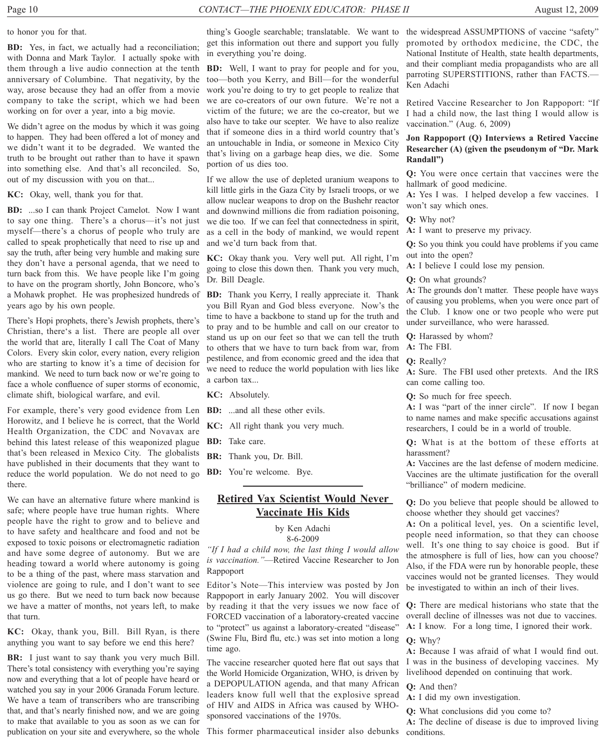to honor you for that.

**BD:** Yes, in fact, we actually had a reconciliation; with Donna and Mark Taylor. I actually spoke with them through a live audio connection at the tenth anniversary of Columbine. That negativity, by the way, arose because they had an offer from a movie company to take the script, which we had been working on for over a year, into a big movie.

We didn't agree on the modus by which it was going to happen. They had been offered a lot of money and we didn't want it to be degraded. We wanted the truth to be brought out rather than to have it spawn into something else. And that's all reconciled. So, out of my discussion with you on that...

**KC:** Okay, well, thank you for that.

**BD:** ...so I can thank Project Camelot. Now I want to say one thing. There's a chorus—it's not just myself—there's a chorus of people who truly are called to speak prophetically that need to rise up and say the truth, after being very humble and making sure they don't have a personal agenda, that we need to turn back from this. We have people like I'm going to have on the program shortly, John Boncore, who's a Mohawk prophet. He was prophesized hundreds of years ago by his own people.

There's Hopi prophets, there's Jewish prophets, there's Christian, there's a list. There are people all over the world that are, literally I call The Coat of Many Colors. Every skin color, every nation, every religion who are starting to know it's a time of decision for mankind. We need to turn back now or we're going to face a whole confluence of super storms of economic, climate shift, biological warfare, and evil.

For example, there's very good evidence from Len Horowitz, and I believe he is correct, that the World Health Organization, the CDC and Novavax are behind this latest release of this weaponized plague that's been released in Mexico City. The globalists have published in their documents that they want to reduce the world population. We do not need to go there.

We can have an alternative future where mankind is safe; where people have true human rights. Where people have the right to grow and to believe and to have safety and healthcare and food and not be exposed to toxic poisons or electromagnetic radiation and have some degree of autonomy. But we are heading toward a world where autonomy is going to be a thing of the past, where mass starvation and violence are going to rule, and I don't want to see us go there. But we need to turn back now because we have a matter of months, not years left, to make that turn.

**KC:** Okay, thank you, Bill. Bill Ryan, is there anything you want to say before we end this here?

**BR:** I just want to say thank you very much Bill. There's total consistency with everything you're saying now and everything that a lot of people have heard or watched you say in your 2006 Granada Forum lecture. We have a team of transcribers who are transcribing that, and that's nearly finished now, and we are going to make that available to you as soon as we can for publication on your site and everywhere, so the whole

get this information out there and support you fully in everything you're doing.

**BD:** Well, I want to pray for people and for you, too—both you Kerry, and Bill—for the wonderful work you're doing to try to get people to realize that we are co-creators of our own future. We're not a victim of the future; we are the co-creator, but we also have to take our scepter. We have to also realize that if someone dies in a third world country that's an untouchable in India, or someone in Mexico City that's living on a garbage heap dies, we die. Some portion of us dies too.

If we allow the use of depleted uranium weapons to kill little girls in the Gaza City by Israeli troops, or we allow nuclear weapons to drop on the Bushehr reactor and downwind millions die from radiation poisoning, we die too. If we can feel that connectedness in spirit, as a cell in the body of mankind, we would repent and we'd turn back from that.

**KC:** Okay thank you. Very well put. All right, I'm going to close this down then. Thank you very much, Dr. Bill Deagle.

**BD:** Thank you Kerry, I really appreciate it. Thank you Bill Ryan and God bless everyone. Now's the time to have a backbone to stand up for the truth and to pray and to be humble and call on our creator to stand us up on our feet so that we can tell the truth to others that we have to turn back from war, from pestilence, and from economic greed and the idea that we need to reduce the world population with lies like a carbon tax...

**KC:** Absolutely.

**BD:** ...and all these other evils.

**KC:** All right thank you very much.

**BD:** Take care.

**BR:** Thank you, Dr. Bill.

**BD:** You're welcome. Bye.

#### **Retired Vax Scientist Would Never Vaccinate His Kids**

by Ken Adachi 8-6-2009

*"If I had a child now, the last thing I would allow is vaccination."*—Retired Vaccine Researcher to Jon Rappoport

Editor's Note—This interview was posted by Jon Rappoport in early January 2002. You will discover by reading it that the very issues we now face of FORCED vaccination of a laboratory-created vaccine to "protect" us against a laboratory-created "disease" (Swine Flu, Bird flu, etc.) was set into motion a long time ago.

the World Homicide Organization, WHO, is driven by a DEPOPULATION agenda, and that many African leaders know full well that the explosive spread of HIV and AIDS in Africa was caused by WHOsponsored vaccinations of the 1970s.

This former pharmaceutical insider also debunks conditions.

thing's Google searchable; translatable. We want to the widespread ASSUMPTIONS of vaccine "safety" promoted by orthodox medicine, the CDC, the National Institute of Health, state health departments, and their compliant media propagandists who are all parroting SUPERSTITIONS, rather than FACTS.— Ken Adachi

> Retired Vaccine Researcher to Jon Rappoport: "If I had a child now, the last thing I would allow is vaccination." (Aug. 6, 2009)

#### **Jon Rappoport (Q) Interviews a Retired Vaccine Researcher (A) (given the pseudonym of "Dr. Mark Randall")**

**Q:** You were once certain that vaccines were the hallmark of good medicine.

**A:** Yes I was. I helped develop a few vaccines. I won't say which ones.

**Q:** Why not?

A: I want to preserve my privacy.

**Q:** So you think you could have problems if you came out into the open?

**A:** I believe I could lose my pension.

**Q:** On what grounds?

A: The grounds don't matter. These people have ways of causing you problems, when you were once part of the Club. I know one or two people who were put under surveillance, who were harassed.

**Q:** Harassed by whom?

**A:** The FBI.

**Q:** Really?

**A:** Sure. The FBI used other pretexts. And the IRS can come calling too.

**Q:** So much for free speech.

A: I was "part of the inner circle". If now I began to name names and make specific accusations against researchers, I could be in a world of trouble.

**Q:** What is at the bottom of these efforts at harassment?

**A:** Vaccines are the last defense of modern medicine. Vaccines are the ultimate justification for the overall "brilliance" of modern medicine.

**Q:** Do you believe that people should be allowed to choose whether they should get vaccines?

A: On a political level, yes. On a scientific level, people need information, so that they can choose well. It's one thing to say choice is good. But if the atmosphere is full of lies, how can you choose? Also, if the FDA were run by honorable people, these vaccines would not be granted licenses. They would be investigated to within an inch of their lives.

**Q:** There are medical historians who state that the overall decline of illnesses was not due to vaccines. A: I know. For a long time, I ignored their work.

**Q:** Why?

The vaccine researcher quoted here flat out says that I was in the business of developing vaccines. My **A:** Because I was afraid of what I would find out. livelihood depended on continuing that work.

**Q:** And then?

**A:** I did my own investigation.

**Q:** What conclusions did you come to?

A: The decline of disease is due to improved living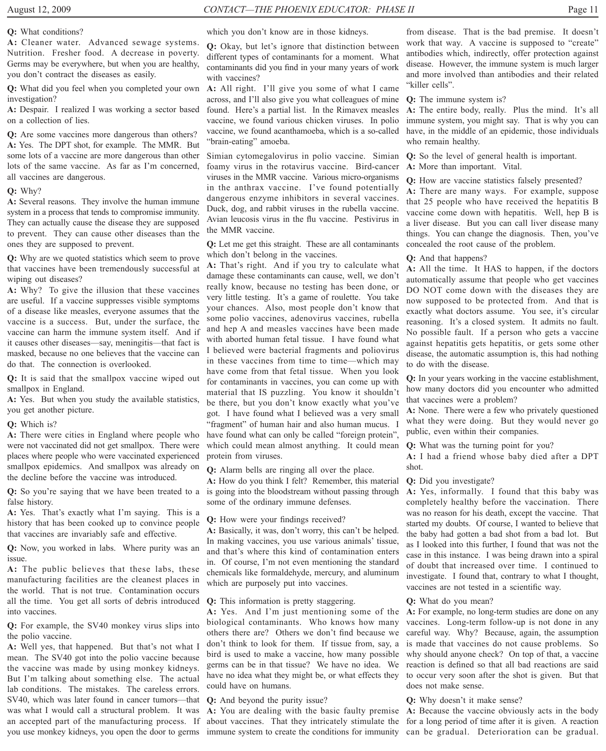#### **Q:** What conditions?

**A:** Cleaner water. Advanced sewage systems. Nutrition. Fresher food. A decrease in poverty. Germs may be everywhere, but when you are healthy, you don't contract the diseases as easily.

**Q:** What did you feel when you completed your own investigation?

A: Despair. I realized I was working a sector based on a collection of lies.

**Q:** Are some vaccines more dangerous than others? **A:** Yes. The DPT shot, for example. The MMR. But some lots of a vaccine are more dangerous than other lots of the same vaccine. As far as I'm concerned, all vaccines are dangerous.

#### **Q:** Why?

**A:** Several reasons. They involve the human immune system in a process that tends to compromise immunity. They can actually cause the disease they are supposed to prevent. They can cause other diseases than the ones they are supposed to prevent.

**Q:** Why are we quoted statistics which seem to prove that vaccines have been tremendously successful at wiping out diseases?

**A:** Why? To give the illusion that these vaccines are useful. If a vaccine suppresses visible symptoms of a disease like measles, everyone assumes that the vaccine is a success. But, under the surface, the vaccine can harm the immune system itself. And if it causes other diseases—say, meningitis—that fact is masked, because no one believes that the vaccine can do that. The connection is overlooked.

**Q:** It is said that the smallpox vaccine wiped out smallpox in England.

**A:** Yes. But when you study the available statistics, you get another picture.

#### **Q:** Which is?

**A:** There were cities in England where people who were not vaccinated did not get smallpox. There were places where people who were vaccinated experienced smallpox epidemics. And smallpox was already on the decline before the vaccine was introduced.

**Q:** So you're saying that we have been treated to a false history.

**A:** Yes. That's exactly what I'm saying. This is a history that has been cooked up to convince people that vaccines are invariably safe and effective.

**Q:** Now, you worked in labs. Where purity was an issue.

**A:** The public believes that these labs, these manufacturing facilities are the cleanest places in the world. That is not true. Contamination occurs all the time. You get all sorts of debris introduced into vaccines.

**Q:** For example, the SV40 monkey virus slips into the polio vaccine.

**A:** Well yes, that happened. But that's not what I mean. The SV40 got into the polio vaccine because the vaccine was made by using monkey kidneys. But I'm talking about something else. The actual lab conditions. The mistakes. The careless errors. SV40, which was later found in cancer tumors—that was what I would call a structural problem. It was an accepted part of the manufacturing process. If you use monkey kidneys, you open the door to germs immune system to create the conditions for immunity can be gradual. Deterioration can be gradual.

which you don't know are in those kidneys.

**Q:** Okay, but let's ignore that distinction between different types of contaminants for a moment. What contaminants did you find in your many years of work with vaccines?

**A:** All right. I'll give you some of what I came across, and I'll also give you what colleagues of mine found. Here's a partial list. In the Rimavex measles vaccine, we found various chicken viruses. In polio vaccine, we found acanthamoeba, which is a so-called "brain-eating" amoeba.

Simian cytomegalovirus in polio vaccine. Simian foamy virus in the rotavirus vaccine. Bird-cancer viruses in the MMR vaccine. Various micro-organisms in the anthrax vaccine. I've found potentially dangerous enzyme inhibitors in several vaccines. Duck, dog, and rabbit viruses in the rubella vaccine. Avian leucosis virus in the flu vaccine. Pestivirus in the MMR vaccine.

**Q:** Let me get this straight. These are all contaminants which don't belong in the vaccines.

**A:** That's right. And if you try to calculate what damage these contaminants can cause, well, we don't really know, because no testing has been done, or very little testing. It's a game of roulette. You take your chances. Also, most people don't know that some polio vaccines, adenovirus vaccines, rubella and hep A and measles vaccines have been made with aborted human fetal tissue. I have found what I believed were bacterial fragments and poliovirus in these vaccines from time to time—which may have come from that fetal tissue. When you look for contaminants in vaccines, you can come up with material that IS puzzling. You know it shouldn't be there, but you don't know exactly what you've got. I have found what I believed was a very small "fragment" of human hair and also human mucus. I have found what can only be called "foreign protein", which could mean almost anything. It could mean protein from viruses.

**Q:** Alarm bells are ringing all over the place.

**A:** How do you think I felt? Remember, this material is going into the bloodstream without passing through some of the ordinary immune defenses.

#### **Q:** How were your findings received?

**A:** Basically, it was, don't worry, this can't be helped. In making vaccines, you use various animals' tissue, and that's where this kind of contamination enters in. Of course, I'm not even mentioning the standard chemicals like formaldehyde, mercury, and aluminum which are purposely put into vaccines.

**Q:** This information is pretty staggering.

**A:** Yes. And I'm just mentioning some of the biological contaminants. Who knows how many others there are? Others we don't find because we don't think to look for them. If tissue from, say, a bird is used to make a vaccine, how many possible germs can be in that tissue? We have no idea. We have no idea what they might be, or what effects they could have on humans.

#### **Q:** And beyond the purity issue?

from disease. That is the bad premise. It doesn't work that way. A vaccine is supposed to "create" antibodies which, indirectly, offer protection against disease. However, the immune system is much larger and more involved than antibodies and their related "killer cells".

**Q:** The immune system is?

**A:** The entire body, really. Plus the mind. It's all immune system, you might say. That is why you can have, in the middle of an epidemic, those individuals who remain healthy.

**Q:** So the level of general health is important.

**A:** More than important. Vital.

**Q:** How are vaccine statistics falsely presented?

**A:** There are many ways. For example, suppose that 25 people who have received the hepatitis B vaccine come down with hepatitis. Well, hep B is a liver disease. But you can call liver disease many things. You can change the diagnosis. Then, you've concealed the root cause of the problem.

**Q:** And that happens?

**A:** All the time. It HAS to happen, if the doctors automatically assume that people who get vaccines DO NOT come down with the diseases they are now supposed to be protected from. And that is exactly what doctors assume. You see, it's circular reasoning. It's a closed system. It admits no fault. No possible fault. If a person who gets a vaccine against hepatitis gets hepatitis, or gets some other disease, the automatic assumption is, this had nothing to do with the disease.

**Q:** In your years working in the vaccine establishment, how many doctors did you encounter who admitted that vaccines were a problem?

**A:** None. There were a few who privately questioned what they were doing. But they would never go public, even within their companies.

**Q:** What was the turning point for you?

**A:** I had a friend whose baby died after a DPT shot.

**Q:** Did you investigate?

**A:** Yes, informally. I found that this baby was completely healthy before the vaccination. There was no reason for his death, except the vaccine. That started my doubts. Of course, I wanted to believe that the baby had gotten a bad shot from a bad lot. But as I looked into this further, I found that was not the case in this instance. I was being drawn into a spiral of doubt that increased over time. I continued to investigate. I found that, contrary to what I thought, vaccines are not tested in a scientific way.

#### **Q:** What do you mean?

A: For example, no long-term studies are done on any vaccines. Long-term follow-up is not done in any careful way. Why? Because, again, the assumption is made that vaccines do not cause problems. So why should anyone check? On top of that, a vaccine reaction is defined so that all bad reactions are said to occur very soon after the shot is given. But that does not make sense.

**Q:** Why doesn't it make sense?

**A:** You are dealing with the basic faulty premise **A:** Because the vaccine obviously acts in the body about vaccines. That they intricately stimulate the for a long period of time after it is given. A reaction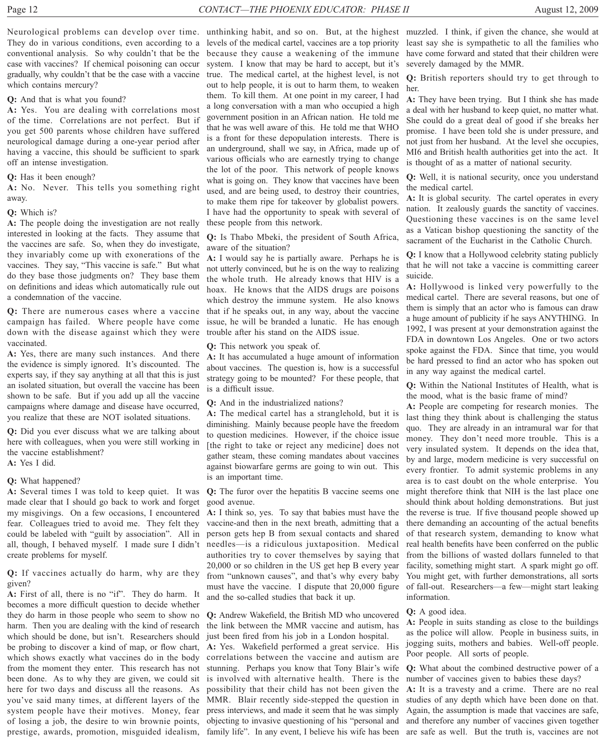conventional analysis. So why couldn't that be the case with vaccines? If chemical poisoning can occur gradually, why couldn't that be the case with a vaccine which contains mercury?

#### **Q:** And that is what you found?

**A:** Yes. You are dealing with correlations most of the time. Correlations are not perfect. But if you get 500 parents whose children have suffered neurological damage during a one-year period after having a vaccine, this should be sufficient to spark off an intense investigation.

#### **Q:** Has it been enough?

**A:** No. Never. This tells you something right away.

#### **Q:** Which is?

**A:** The people doing the investigation are not really interested in looking at the facts. They assume that the vaccines are safe. So, when they do investigate, they invariably come up with exonerations of the vaccines. They say, "This vaccine is safe." But what do they base those judgments on? They base them on definitions and ideas which automatically rule out a condemnation of the vaccine.

**Q:** There are numerous cases where a vaccine campaign has failed. Where people have come down with the disease against which they were vaccinated.

**A:** Yes, there are many such instances. And there the evidence is simply ignored. It's discounted. The experts say, if they say anything at all that this is just an isolated situation, but overall the vaccine has been shown to be safe. But if you add up all the vaccine campaigns where damage and disease have occurred, you realize that these are NOT isolated situations.

**Q:** Did you ever discuss what we are talking about here with colleagues, when you were still working in the vaccine establishment?

**A:** Yes I did.

#### **Q:** What happened?

**A:** Several times I was told to keep quiet. It was made clear that I should go back to work and forget my misgivings. On a few occasions, I encountered fear. Colleagues tried to avoid me. They felt they could be labeled with "guilt by association". All in all, though, I behaved myself. I made sure I didn't create problems for myself.

**Q:** If vaccines actually do harm, why are they given?

A: First of all, there is no "if". They do harm. It becomes a more difficult question to decide whether they do harm in those people who seem to show no harm. Then you are dealing with the kind of research which should be done, but isn't. Researchers should be probing to discover a kind of map, or flow chart, which shows exactly what vaccines do in the body from the moment they enter. This research has not been done. As to why they are given, we could sit here for two days and discuss all the reasons. As you've said many times, at different layers of the system people have their motives. Money, fear of losing a job, the desire to win brownie points,

They do in various conditions, even according to a levels of the medical cartel, vaccines are a top priority because they cause a weakening of the immune system. I know that may be hard to accept, but it's true. The medical cartel, at the highest level, is not out to help people, it is out to harm them, to weaken them. To kill them. At one point in my career, I had a long conversation with a man who occupied a high government position in an African nation. He told me that he was well aware of this. He told me that WHO is a front for these depopulation interests. There is an underground, shall we say, in Africa, made up of various officials who are earnestly trying to change the lot of the poor. This network of people knows what is going on. They know that vaccines have been used, and are being used, to destroy their countries, to make them ripe for takeover by globalist powers. I have had the opportunity to speak with several of these people from this network.

> **Q:** Is Thabo Mbeki, the president of South Africa, aware of the situation?

> A: I would say he is partially aware. Perhaps he is not utterly convinced, but he is on the way to realizing the whole truth. He already knows that HIV is a hoax. He knows that the AIDS drugs are poisons which destroy the immune system. He also knows that if he speaks out, in any way, about the vaccine issue, he will be branded a lunatic. He has enough trouble after his stand on the AIDS issue.

**Q:** This network you speak of.

**A:** It has accumulated a huge amount of information about vaccines. The question is, how is a successful strategy going to be mounted? For these people, that is a difficult issue.

**Q:** And in the industrialized nations?

**A:** The medical cartel has a stranglehold, but it is diminishing. Mainly because people have the freedom to question medicines. However, if the choice issue [the right to take or reject any medicine] does not gather steam, these coming mandates about vaccines against biowarfare germs are going to win out. This is an important time.

**Q:** The furor over the hepatitis B vaccine seems one good avenue.

**A:** I think so, yes. To say that babies must have the vaccine-and then in the next breath, admitting that a person gets hep B from sexual contacts and shared needles—is a ridiculous juxtaposition. Medical authorities try to cover themselves by saying that 20,000 or so children in the US get hep B every year from "unknown causes", and that's why every baby must have the vaccine. I dispute that 20,000 figure and the so-called studies that back it up.

**Q:** Andrew Wakefield, the British MD who uncovered the link between the MMR vaccine and autism, has just been fired from his job in a London hospital.

**A:** Yes. Wakefield performed a great service. His correlations between the vaccine and autism are stunning. Perhaps you know that Tony Blair's wife is involved with alternative health. There is the possibility that their child has not been given the MMR. Blair recently side-stepped the question in press interviews, and made it seem that he was simply objecting to invasive questioning of his "personal and

Neurological problems can develop over time. unthinking habit, and so on. But, at the highest muzzled. I think, if given the chance, she would at least say she is sympathetic to all the families who have come forward and stated that their children were severely damaged by the MMR.

> **Q:** British reporters should try to get through to her.

> **A:** They have been trying. But I think she has made a deal with her husband to keep quiet, no matter what. She could do a great deal of good if she breaks her promise. I have been told she is under pressure, and not just from her husband. At the level she occupies, MI6 and British health authorities get into the act. It is thought of as a matter of national security.

> **Q:** Well, it is national security, once you understand the medical cartel.

> **A:** It is global security. The cartel operates in every nation. It zealously guards the sanctity of vaccines. Questioning these vaccines is on the same level as a Vatican bishop questioning the sanctity of the sacrament of the Eucharist in the Catholic Church.

> **Q:** I know that a Hollywood celebrity stating publicly that he will not take a vaccine is committing career suicide.

> **A:** Hollywood is linked very powerfully to the medical cartel. There are several reasons, but one of them is simply that an actor who is famous can draw a huge amount of publicity if he says ANYTHING. In 1992, I was present at your demonstration against the FDA in downtown Los Angeles. One or two actors spoke against the FDA. Since that time, you would be hard pressed to find an actor who has spoken out in any way against the medical cartel.

> **Q:** Within the National Institutes of Health, what is the mood, what is the basic frame of mind?

> **A:** People are competing for research monies. The last thing they think about is challenging the status quo. They are already in an intramural war for that money. They don't need more trouble. This is a very insulated system. It depends on the idea that, by and large, modern medicine is very successful on every frontier. To admit systemic problems in any area is to cast doubt on the whole enterprise. You might therefore think that NIH is the last place one should think about holding demonstrations. But just the reverse is true. If five thousand people showed up there demanding an accounting of the actual benefits of that research system, demanding to know what real health benefits have been conferred on the public from the billions of wasted dollars funneled to that facility, something might start. A spark might go off. You might get, with further demonstrations, all sorts of fall-out. Researchers—a few—might start leaking information.

#### **Q:** A good idea.

**A:** People in suits standing as close to the buildings as the police will allow. People in business suits, in jogging suits, mothers and babies. Well-off people. Poor people. All sorts of people.

prestige, awards, promotion, misguided idealism, family life". In any event, I believe his wife has been are safe as well. But the truth is, vaccines are not **Q:** What about the combined destructive power of a number of vaccines given to babies these days? **A:** It is a travesty and a crime. There are no real studies of any depth which have been done on that. Again, the assumption is made that vaccines are safe, and therefore any number of vaccines given together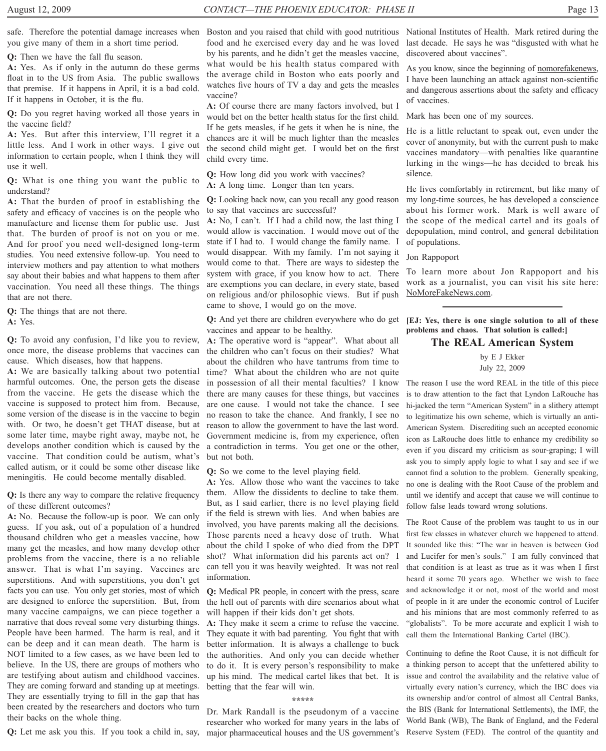you give many of them in a short time period.

**Q:** Then we have the fall flu season.

**A:** Yes. As if only in the autumn do these germs float in to the US from Asia. The public swallows that premise. If it happens in April, it is a bad cold. If it happens in October, it is the flu.

**Q:** Do you regret having worked all those years in the vaccine field?

**A:** Yes. But after this interview, I'll regret it a little less. And I work in other ways. I give out information to certain people, when I think they will use it well.

**Q:** What is one thing you want the public to understand?

**A:** That the burden of proof in establishing the safety and efficacy of vaccines is on the people who manufacture and license them for public use. Just that. The burden of proof is not on you or me. And for proof you need well-designed long-term studies. You need extensive follow-up. You need to interview mothers and pay attention to what mothers say about their babies and what happens to them after vaccination. You need all these things. The things that are not there.

**Q:** The things that are not there. **A:** Yes.

**Q:** To avoid any confusion, I'd like you to review, once more, the disease problems that vaccines can cause. Which diseases, how that happens.

**A:** We are basically talking about two potential harmful outcomes. One, the person gets the disease from the vaccine. He gets the disease which the vaccine is supposed to protect him from. Because, some version of the disease is in the vaccine to begin with. Or two, he doesn't get THAT disease, but at some later time, maybe right away, maybe not, he develops another condition which is caused by the vaccine. That condition could be autism, what's called autism, or it could be some other disease like meningitis. He could become mentally disabled.

**Q:** Is there any way to compare the relative frequency of these different outcomes?

**A:** No. Because the follow-up is poor. We can only guess. If you ask, out of a population of a hundred thousand children who get a measles vaccine, how many get the measles, and how many develop other problems from the vaccine, there is a no reliable answer. That is what I'm saying. Vaccines are superstitions. And with superstitions, you don't get facts you can use. You only get stories, most of which are designed to enforce the superstition. But, from many vaccine campaigns, we can piece together a narrative that does reveal some very disturbing things. People have been harmed. The harm is real, and it can be deep and it can mean death. The harm is NOT limited to a few cases, as we have been led to believe. In the US, there are groups of mothers who are testifying about autism and childhood vaccines. They are coming forward and standing up at meetings. They are essentially trying to fill in the gap that has been created by the researchers and doctors who turn their backs on the whole thing.

**Q:** Let me ask you this. If you took a child in, say,

food and he exercised every day and he was loved by his parents, and he didn't get the measles vaccine, what would be his health status compared with the average child in Boston who eats poorly and watches five hours of TV a day and gets the measles vaccine?

A: Of course there are many factors involved, but I would bet on the better health status for the first child. If he gets measles, if he gets it when he is nine, the chances are it will be much lighter than the measles the second child might get. I would bet on the first child every time.

**Q:** How long did you work with vaccines? A: A long time. Longer than ten years.

**Q:** Looking back now, can you recall any good reason to say that vaccines are successful?

**A:** No, I can't. If I had a child now, the last thing I would allow is vaccination. I would move out of the state if I had to. I would change the family name. I would disappear. With my family. I'm not saying it would come to that. There are ways to sidestep the system with grace, if you know how to act. There are exemptions you can declare, in every state, based on religious and/or philosophic views. But if push came to shove, I would go on the move.

**Q:** And yet there are children everywhere who do get vaccines and appear to be healthy.

**A:** The operative word is "appear". What about all the children who can't focus on their studies? What about the children who have tantrums from time to time? What about the children who are not quite in possession of all their mental faculties? I know there are many causes for these things, but vaccines are one cause. I would not take the chance. I see no reason to take the chance. And frankly, I see no reason to allow the government to have the last word. Government medicine is, from my experience, often a contradiction in terms. You get one or the other, but not both.

**Q:** So we come to the level playing field.

**A:** Yes. Allow those who want the vaccines to take them. Allow the dissidents to decline to take them. But, as I said earlier, there is no level playing field if the field is strewn with lies. And when babies are involved, you have parents making all the decisions. Those parents need a heavy dose of truth. What about the child I spoke of who died from the DPT shot? What information did his parents act on? I can tell you it was heavily weighted. It was not real information.

**Q:** Medical PR people, in concert with the press, scare the hell out of parents with dire scenarios about what will happen if their kids don't get shots.

**A:** They make it seem a crime to refuse the vaccine. They equate it with bad parenting. You fight that with better information. It is always a challenge to buck the authorities. And only you can decide whether to do it. It is every person's responsibility to make up his mind. The medical cartel likes that bet. It is betting that the fear will win.

#### **\*\*\*\*\***

Dr. Mark Randall is the pseudonym of a vaccine researcher who worked for many years in the labs of major pharmaceutical houses and the US government's

safe. Therefore the potential damage increases when Boston and you raised that child with good nutritious National Institutes of Health. Mark retired during the last decade. He says he was "disgusted with what he discovered about vaccines".

> As you know, since the beginning of nomorefakenews, I have been launching an attack against non-scientific and dangerous assertions about the safety and efficacy of vaccines.

Mark has been one of my sources.

He is a little reluctant to speak out, even under the cover of anonymity, but with the current push to make vaccines mandatory—with penalties like quarantine lurking in the wings—he has decided to break his silence.

He lives comfortably in retirement, but like many of my long-time sources, he has developed a conscience about his former work. Mark is well aware of the scope of the medical cartel and its goals of depopulation, mind control, and general debilitation of populations.

Jon Rappoport

To learn more about Jon Rappoport and his work as a journalist, you can visit his site here: NoMoreFakeNews.com.

**[EJ: Yes, there is one single solution to all of these problems and chaos. That solution is called:]**

#### **The REAL American System**

by E J Ekker July 22, 2009

The reason I use the word REAL in the title of this piece is to draw attention to the fact that Lyndon LaRouche has hi-jacked the term "American System" in a slithery attempt to legitimatize his own scheme, which is virtually an anti-American System. Discrediting such an accepted economic icon as LaRouche does little to enhance my credibility so even if you discard my criticism as sour-graping; I will ask you to simply apply logic to what I say and see if we cannot find a solution to the problem. Generally speaking, no one is dealing with the Root Cause of the problem and until we identify and accept that cause we will continue to follow false leads toward wrong solutions.

The Root Cause of the problem was taught to us in our first few classes in whatever church we happened to attend. It sounded like this: "The war in heaven is between God and Lucifer for men's souls." I am fully convinced that that condition is at least as true as it was when I first heard it some 70 years ago. Whether we wish to face and acknowledge it or not, most of the world and most of people in it are under the economic control of Lucifer and his minions that are most commonly referred to as "globalists". To be more accurate and explicit I wish to call them the International Banking Cartel (IBC).

Continuing to define the Root Cause, it is not difficult for a thinking person to accept that the unfettered ability to issue and control the availability and the relative value of virtually every nation's currency, which the IBC does via its ownership and/or control of almost all Central Banks, the BIS (Bank for International Settlements), the IMF, the World Bank (WB), The Bank of England, and the Federal Reserve System (FED). The control of the quantity and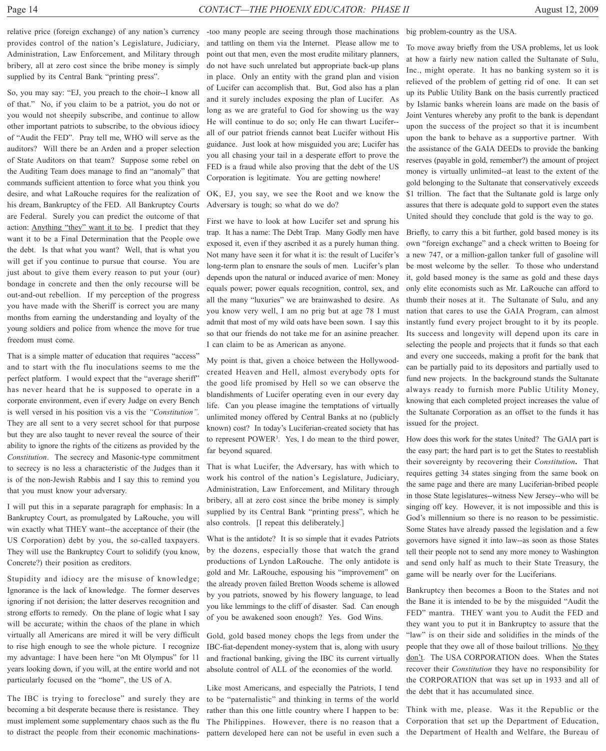relative price (foreign exchange) of any nation's currency -too many people are seeing through those machinations big problem-country as the USA. provides control of the nation's Legislature, Judiciary, Administration, Law Enforcement, and Military through bribery, all at zero cost since the bribe money is simply supplied by its Central Bank "printing press".

So, you may say: "EJ, you preach to the choir--I know all of that." No, if you claim to be a patriot, you do not or you would not sheepily subscribe, and continue to allow other important patriots to subscribe, to the obvious idiocy of "Audit the FED". Pray tell me, WHO will serve as the auditors? Will there be an Arden and a proper selection of State Auditors on that team? Suppose some rebel on the Auditing Team does manage to find an "anomaly" that commands sufficient attention to force what you think you desire, and what LaRouche requires for the realization of his dream, Bankruptcy of the FED. All Bankruptcy Courts are Federal. Surely you can predict the outcome of that action: Anything "they" want it to be. I predict that they want it to be a Final Determination that the People owe the debt. Is that what you want? Well, that is what you will get if you continue to pursue that course. You are just about to give them every reason to put your (our) bondage in concrete and then the only recourse will be out-and-out rebellion. If my perception of the progress you have made with the Sheriff is correct you are many months from earning the understanding and loyalty of the young soldiers and police from whence the move for true freedom must come.

That is a simple matter of education that requires "access" and to start with the flu inoculations seems to me the perfect platform. I would expect that the "average sheriff" has never heard that he is supposed to operate in a corporate environment, even if every Judge on every Bench is well versed in his position vis a vis the *"Constitution".*  They are all sent to a very secret school for that purpose but they are also taught to never reveal the source of their ability to ignore the rights of the citizens as provided by the *Constitution*. The secrecy and Masonic-type commitment to secrecy is no less a characteristic of the Judges than it is of the non-Jewish Rabbis and I say this to remind you that you must know your adversary.

I will put this in a separate paragraph for emphasis: In a Bankruptcy Court, as promulgated by LaRouche, you will win exactly what THEY want--the acceptance of their (the US Corporation) debt by you, the so-called taxpayers. They will use the Bankruptcy Court to solidify (you know, Concrete?) their position as creditors.

Stupidity and idiocy are the misuse of knowledge; Ignorance is the lack of knowledge. The former deserves ignoring if not derision; the latter deserves recognition and strong efforts to remedy. On the plane of logic what I say will be accurate; within the chaos of the plane in which virtually all Americans are mired it will be very difficult to rise high enough to see the whole picture. I recognize my advantage: I have been here "on Mt Olympus" for 11 years looking down, if you will, at the entire world and not particularly focused on the "home", the US of A.

The IBC is trying to foreclose" and surely they are becoming a bit desperate because there is resistance. They must implement some supplementary chaos such as the flu to distract the people from their economic machinations-

and tattling on them via the Internet. Please allow me to point out that men, even the most erudite military planners, do not have such unrelated but appropriate back-up plans in place. Only an entity with the grand plan and vision of Lucifer can accomplish that. But, God also has a plan and it surely includes exposing the plan of Lucifer. As long as we are grateful to God for showing us the way He will continue to do so; only He can thwart Lucifer- all of our patriot friends cannot beat Lucifer without His guidance. Just look at how misguided you are; Lucifer has you all chasing your tail in a desperate effort to prove the FED is a fraud while also proving that the debt of the US Corporation is legitimate. You are getting nowhere!

OK, EJ, you say, we see the Root and we know the Adversary is tough; so what do we do?

First we have to look at how Lucifer set and sprung his trap. It has a name: The Debt Trap. Many Godly men have exposed it, even if they ascribed it as a purely human thing. Not many have seen it for what it is: the result of Lucifer's long-term plan to ensnare the souls of men. Lucifer's plan depends upon the natural or induced avarice of men: Money equals power; power equals recognition, control, sex, and all the many "luxuries" we are brainwashed to desire. As you know very well, I am no prig but at age 78 I must admit that most of my wild oats have been sown. I say this so that our friends do not take me for an asinine preacher. I can claim to be as American as anyone.

My point is that, given a choice between the Hollywoodcreated Heaven and Hell, almost everybody opts for the good life promised by Hell so we can observe the blandishments of Lucifer operating even in our every day life. Can you please imagine the temptations of virtually unlimited money offered by Central Banks at no (publicly known) cost? In today's Luciferian-created society that has to represent POWER3 . Yes, I do mean to the third power, far beyond squared.

That is what Lucifer, the Adversary, has with which to work his control of the nation's Legislature, Judiciary, Administration, Law Enforcement, and Military through bribery, all at zero cost since the bribe money is simply supplied by its Central Bank "printing press", which he also controls. [I repeat this deliberately.]

What is the antidote? It is so simple that it evades Patriots by the dozens, especially those that watch the grand productions of Lyndon LaRouche. The only antidote is gold and Mr. LaRouche, espousing his "improvement" on the already proven failed Bretton Woods scheme is allowed by you patriots, snowed by his flowery language, to lead you like lemmings to the cliff of disaster. Sad. Can enough of you be awakened soon enough? Yes. God Wins.

Gold, gold based money chops the legs from under the IBC-fiat-dependent money-system that is, along with usury and fractional banking, giving the IBC its current virtually absolute control of ALL of the economies of the world.

Like most Americans, and especially the Patriots, I tend to be "paternalistic" and thinking in terms of the world rather than this one little country where I happen to be: The Philippines. However, there is no reason that a pattern developed here can not be useful in even such a

To move away briefly from the USA problems, let us look at how a fairly new nation called the Sultanate of Sulu, Inc., might operate. It has no banking system so it is relieved of the problem of getting rid of one. It can set up its Public Utility Bank on the basis currently practiced by Islamic banks wherein loans are made on the basis of Joint Ventures whereby any profit to the bank is dependant upon the success of the project so that it is incumbent upon the bank to behave as a supportive partner. With the assistance of the GAIA DEEDs to provide the banking reserves (payable in gold, remember?) the amount of project money is virtually unlimited--at least to the extent of the gold belonging to the Sultanate that conservatively exceeds \$1 trillion. The fact that the Sultanate gold is large only assures that there is adequate gold to support even the states United should they conclude that gold is the way to go.

Briefly, to carry this a bit further, gold based money is its own "foreign exchange" and a check written to Boeing for a new 747, or a million-gallon tanker full of gasoline will be most welcome by the seller. To those who understand it, gold based money is the same as gold and these days only elite economists such as Mr. LaRouche can afford to thumb their noses at it. The Sultanate of Sulu, and any nation that cares to use the GAIA Program, can almost instantly fund every project brought to it by its people. Its success and longevity will depend upon its care in selecting the people and projects that it funds so that each and every one succeeds, making a profit for the bank that can be partially paid to its depositors and partially used to fund new projects. In the background stands the Sultanate always ready to furnish more Public Utility Money, knowing that each completed project increases the value of the Sultanate Corporation as an offset to the funds it has issued for the project.

How does this work for the states United? The GAIA part is the easy part; the hard part is to get the States to reestablish their sovereignty by recovering their *Constitution***.** That requires getting 34 states singing from the same book on the same page and there are many Luciferian-bribed people in those State legislatures--witness New Jersey--who will be singing off key. However, it is not impossible and this is God's millennium so there is no reason to be pessimistic. Some States have already passed the legislation and a few governors have signed it into law--as soon as those States tell their people not to send any more money to Washington and send only half as much to their State Treasury, the game will be nearly over for the Luciferians.

Bankruptcy then becomes a Boon to the States and not the Bane it is intended to be by the misguided "Audit the FED" mantra. THEY want you to Audit the FED and they want you to put it in Bankruptcy to assure that the "law" is on their side and solidifies in the minds of the people that they owe all of those bailout trillions. No they don't. The USA CORPORATION does. When the States recover their *Constitution* they have no responsibility for the CORPORATION that was set up in 1933 and all of the debt that it has accumulated since.

Think with me, please. Was it the Republic or the Corporation that set up the Department of Education, the Department of Health and Welfare, the Bureau of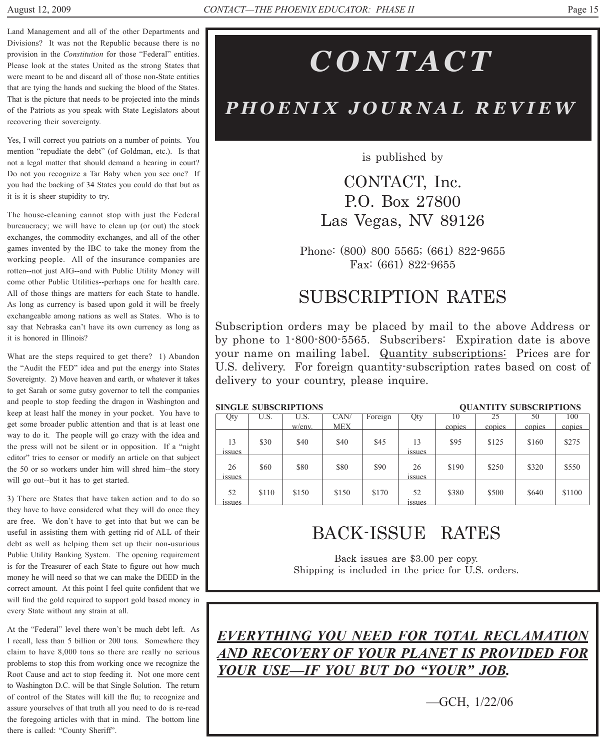Land Management and all of the other Departments and Divisions? It was not the Republic because there is no provision in the *Constitution* for those "Federal" entities. Please look at the states United as the strong States that were meant to be and discard all of those non-State entities that are tying the hands and sucking the blood of the States. That is the picture that needs to be projected into the minds of the Patriots as you speak with State Legislators about recovering their sovereignty.

Yes, I will correct you patriots on a number of points. You mention "repudiate the debt" (of Goldman, etc.). Is that not a legal matter that should demand a hearing in court? Do not you recognize a Tar Baby when you see one? If you had the backing of 34 States you could do that but as it is it is sheer stupidity to try.

The house-cleaning cannot stop with just the Federal bureaucracy; we will have to clean up (or out) the stock exchanges, the commodity exchanges, and all of the other games invented by the IBC to take the money from the working people. All of the insurance companies are rotten--not just AIG--and with Public Utility Money will come other Public Utilities--perhaps one for health care. All of those things are matters for each State to handle. As long as currency is based upon gold it will be freely exchangeable among nations as well as States. Who is to say that Nebraska can't have its own currency as long as it is honored in Illinois?

What are the steps required to get there? 1) Abandon the "Audit the FED" idea and put the energy into States Sovereignty. 2) Move heaven and earth, or whatever it takes to get Sarah or some gutsy governor to tell the companies and people to stop feeding the dragon in Washington and keep at least half the money in your pocket. You have to get some broader public attention and that is at least one way to do it. The people will go crazy with the idea and the press will not be silent or in opposition. If a "night editor" tries to censor or modify an article on that subject the 50 or so workers under him will shred him--the story will go out--but it has to get started.

3) There are States that have taken action and to do so they have to have considered what they will do once they are free. We don't have to get into that but we can be useful in assisting them with getting rid of ALL of their debt as well as helping them set up their non-usurious Public Utility Banking System. The opening requirement is for the Treasurer of each State to figure out how much money he will need so that we can make the DEED in the correct amount. At this point I feel quite confident that we will find the gold required to support gold based money in every State without any strain at all.

At the "Federal" level there won't be much debt left. As I recall, less than 5 billion or 200 tons. Somewhere they claim to have 8,000 tons so there are really no serious problems to stop this from working once we recognize the Root Cause and act to stop feeding it. Not one more cent to Washington D.C. will be that Single Solution. The return of control of the States will kill the flu; to recognize and assure yourselves of that truth all you need to do is re-read the foregoing articles with that in mind. The bottom line there is called: "County Sheriff".

## *CONTACT*

## *PHOENIX JOURNAL REVIEW*

is published by

## CONTACT, Inc. P.O. Box 27800 Las Vegas, NV 89126

Phone: (800) 800 5565; (661) 822-9655 Fax: (661) 822-9655

## SUBSCRIPTION RATES

Subscription orders may be placed by mail to the above Address or by phone to 1-800-800-5565. Subscribers: Expiration date is above your name on mailing label. Quantity subscriptions: Prices are for U.S. delivery. For foreign quantity-subscription rates based on cost of delivery to your country, please inquire.

#### **SINGLE SUBSCRIPTIONS QUANTITY SUBSCRIPTIONS**

| янтоше воростан полю |       |        |       |         | <b>OUNTER BUDDENIL HOTEL</b> |        |        |        |        |
|----------------------|-------|--------|-------|---------|------------------------------|--------|--------|--------|--------|
| Qty                  | U.S.  | U.S.   | CAN/  | Foreign | Qty                          | 10     |        | 50     | 100    |
|                      |       | w/env. | MEX   |         |                              | copies | copies | copies | copies |
| 13<br><b>issues</b>  | \$30  | \$40   | \$40  | \$45    | 13<br><i>ssues</i>           | \$95   | \$125  | \$160  | \$275  |
| 26<br><b>1SSUES</b>  | \$60  | \$80   | \$80  | \$90    | 26<br><i>ssues</i>           | \$190  | \$250  | \$320  | \$550  |
| 52<br><b>issues</b>  | \$110 | \$150  | \$150 | \$170   | 52<br><i>s</i> sues          | \$380  | \$500  | \$640  | \$1100 |

## BACK-ISSUE RATES

Back issues are \$3.00 per copy. Shipping is included in the price for U.S. orders.

## *EVERYTHING YOU NEED FOR TOTAL RECLAMATION AND RECOVERY OF YOUR PLANET IS PROVIDED FOR YOUR USE—IF YOU BUT DO "YOUR" JOB.*

—GCH, 1/22/06